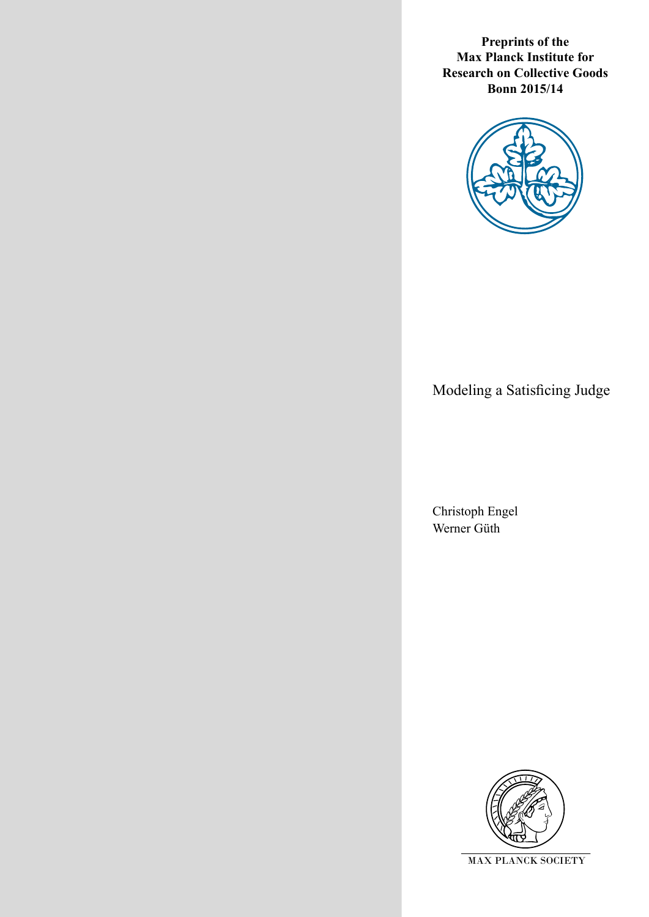**Preprints of the Max Planck Institute for Research on Collective Goods Bonn 2015/14**



# Modeling a Satisficing Judge

Christoph Engel Werner Güth

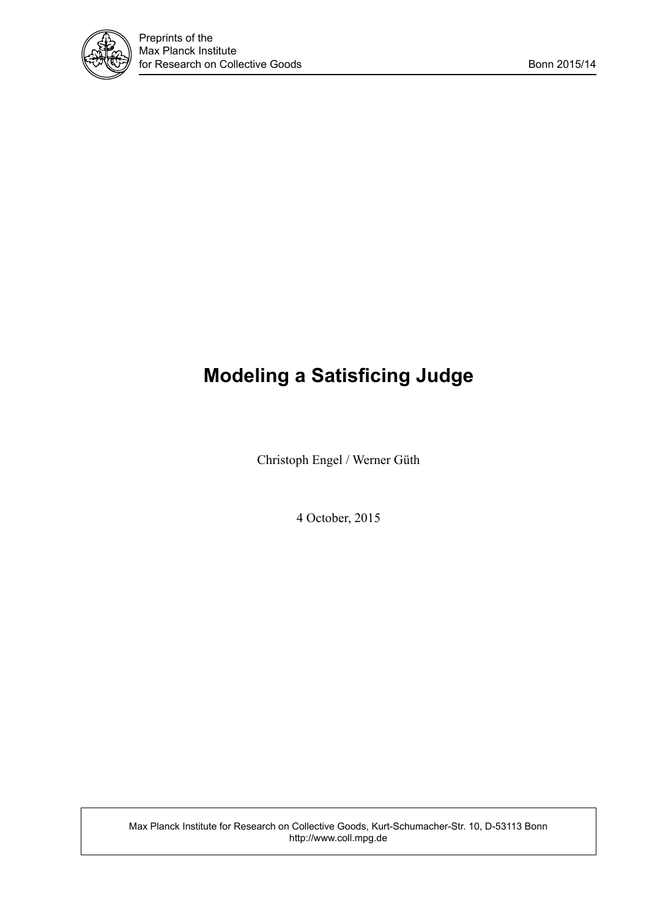

# **Modeling a Satisficing Judge**

Christoph Engel / Werner Güth

4 October, 2015

Max Planck Institute for Research on Collective Goods, Kurt-Schumacher-Str. 10, D-53113 Bonn http://www.coll.mpg.de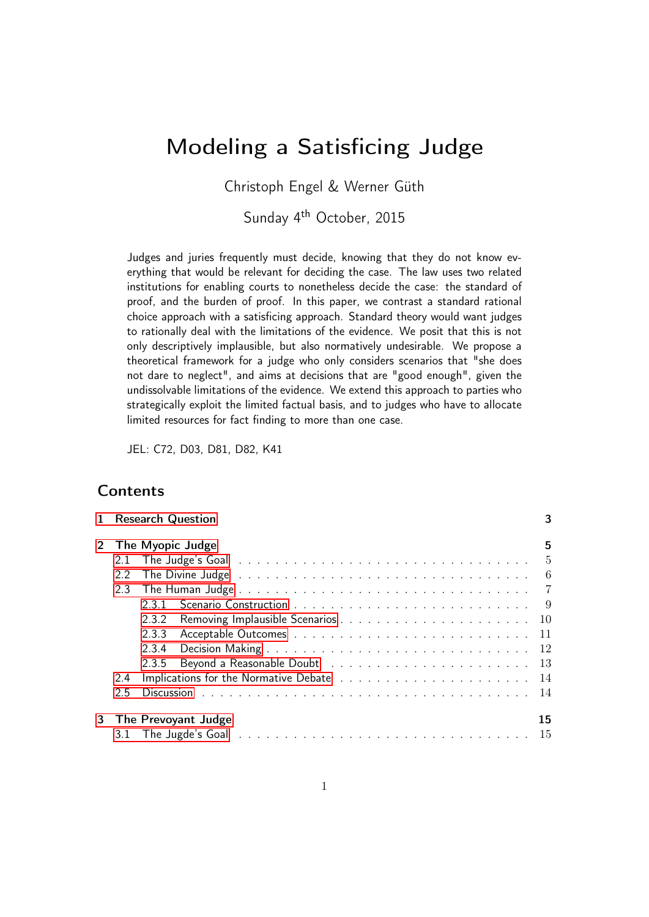# Modeling a Satisficing Judge

Christoph Engel & Werner Güth

Sunday 4<sup>th</sup> October, 2015

Judges and juries frequently must decide, knowing that they do not know everything that would be relevant for deciding the case. The law uses two related institutions for enabling courts to nonetheless decide the case: the standard of proof, and the burden of proof. In this paper, we contrast a standard rational choice approach with a satisficing approach. Standard theory would want judges to rationally deal with the limitations of the evidence. We posit that this is not only descriptively implausible, but also normatively undesirable. We propose a theoretical framework for a judge who only considers scenarios that "she does not dare to neglect", and aims at decisions that are "good enough", given the undissolvable limitations of the evidence. We extend this approach to parties who strategically exploit the limited factual basis, and to judges who have to allocate limited resources for fact finding to more than one case.

JEL: C72, D03, D81, D82, K41

# **Contents**

|                             | 1 Research Question     |                                                                                                                                                                                                                                |  |  |  |  |  |  |  |  |  |
|-----------------------------|-------------------------|--------------------------------------------------------------------------------------------------------------------------------------------------------------------------------------------------------------------------------|--|--|--|--|--|--|--|--|--|
|                             | 2 The Myopic Judge<br>5 |                                                                                                                                                                                                                                |  |  |  |  |  |  |  |  |  |
| 2.1                         |                         |                                                                                                                                                                                                                                |  |  |  |  |  |  |  |  |  |
| 2.2                         |                         | The Divine Judge response to the contract of the contract of the contract of the Contract of the Contract of the Contract of the Contract of the Contract of the Contract of the Contract of the Contract of the Contract of t |  |  |  |  |  |  |  |  |  |
| 23                          |                         |                                                                                                                                                                                                                                |  |  |  |  |  |  |  |  |  |
|                             | 231                     |                                                                                                                                                                                                                                |  |  |  |  |  |  |  |  |  |
|                             | 2.3.2                   |                                                                                                                                                                                                                                |  |  |  |  |  |  |  |  |  |
|                             | 2.3.3                   |                                                                                                                                                                                                                                |  |  |  |  |  |  |  |  |  |
|                             | 2.3.4                   |                                                                                                                                                                                                                                |  |  |  |  |  |  |  |  |  |
|                             | 2.3.5                   |                                                                                                                                                                                                                                |  |  |  |  |  |  |  |  |  |
| 2.4                         |                         |                                                                                                                                                                                                                                |  |  |  |  |  |  |  |  |  |
| 25                          |                         |                                                                                                                                                                                                                                |  |  |  |  |  |  |  |  |  |
| 3 The Prevoyant Judge<br>15 |                         |                                                                                                                                                                                                                                |  |  |  |  |  |  |  |  |  |
|                             |                         |                                                                                                                                                                                                                                |  |  |  |  |  |  |  |  |  |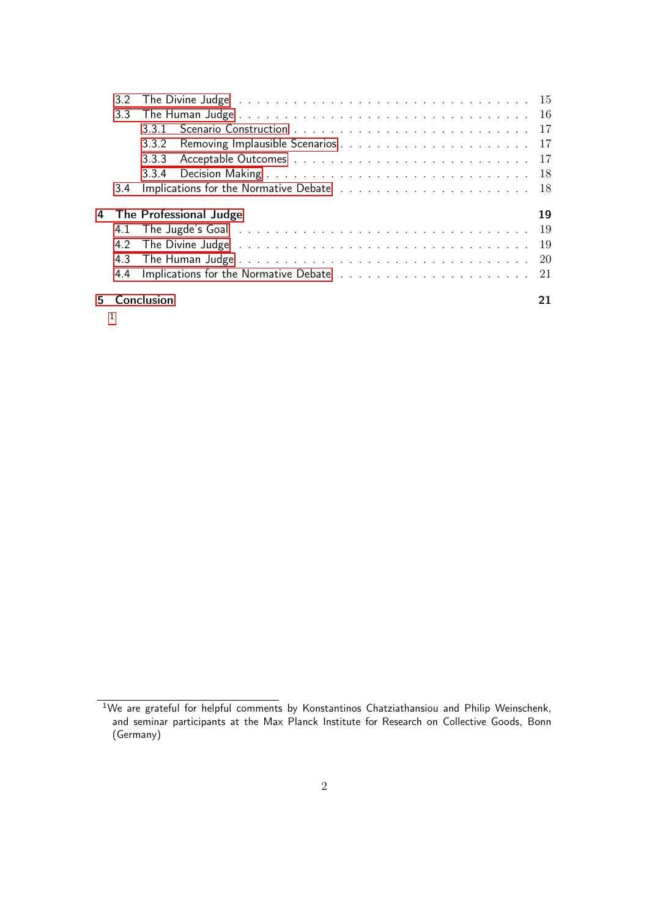|   |     | 3.3.2      |                          |  |    |
|---|-----|------------|--------------------------|--|----|
|   |     | 3.3.3      |                          |  |    |
|   |     |            |                          |  |    |
|   | 3.4 |            |                          |  |    |
|   |     |            | 4 The Professional Judge |  | 19 |
|   |     |            |                          |  |    |
|   |     |            |                          |  |    |
|   |     |            |                          |  |    |
|   | 4.4 |            |                          |  |    |
| 5 |     | Conclusion |                          |  | 21 |

<span id="page-3-0"></span><sup>&</sup>lt;sup>1</sup>We are grateful for helpful comments by Konstantinos Chatziathansiou and Philip Weinschenk, and seminar participants at the Max Planck Institute for Research on Collective Goods, Bonn (Germany)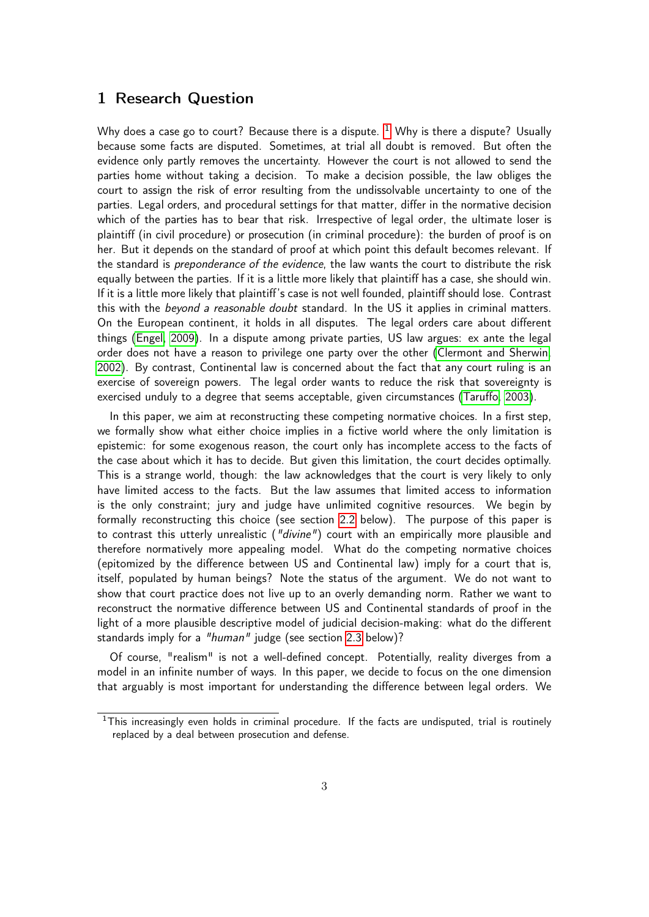# <span id="page-4-0"></span>1 Research Question

Why does a case go to court? Because there is a dispute.  $1$  Why is there a dispute? Usually because some facts are disputed. Sometimes, at trial all doubt is removed. But often the evidence only partly removes the uncertainty. However the court is not allowed to send the parties home without taking a decision. To make a decision possible, the law obliges the court to assign the risk of error resulting from the undissolvable uncertainty to one of the parties. Legal orders, and procedural settings for that matter, differ in the normative decision which of the parties has to bear that risk. Irrespective of legal order, the ultimate loser is plaintiff (in civil procedure) or prosecution (in criminal procedure): the burden of proof is on her. But it depends on the standard of proof at which point this default becomes relevant. If the standard is *preponderance of the evidence*, the law wants the court to distribute the risk equally between the parties. If it is a little more likely that plaintiff has a case, she should win. If it is a little more likely that plaintiff's case is not well founded, plaintiff should lose. Contrast this with the *beyond a reasonable doubt* standard. In the US it applies in criminal matters. On the European continent, it holds in all disputes. The legal orders care about different things [\(Engel, 2009\)](#page-24-0). In a dispute among private parties, US law argues: ex ante the legal order does not have a reason to privilege one party over the other [\(Clermont and Sherwin,](#page-24-1) [2002\)](#page-24-1). By contrast, Continental law is concerned about the fact that any court ruling is an exercise of sovereign powers. The legal order wants to reduce the risk that sovereignty is exercised unduly to a degree that seems acceptable, given circumstances [\(Taruffo, 2003\)](#page-25-0).

In this paper, we aim at reconstructing these competing normative choices. In a first step, we formally show what either choice implies in a fictive world where the only limitation is epistemic: for some exogenous reason, the court only has incomplete access to the facts of the case about which it has to decide. But given this limitation, the court decides optimally. This is a strange world, though: the law acknowledges that the court is very likely to only have limited access to the facts. But the law assumes that limited access to information is the only constraint; jury and judge have unlimited cognitive resources. We begin by formally reconstructing this choice (see section [2.2](#page-7-0) below). The purpose of this paper is to contrast this utterly unrealistic ("divine") court with an empirically more plausible and therefore normatively more appealing model. What do the competing normative choices (epitomized by the difference between US and Continental law) imply for a court that is, itself, populated by human beings? Note the status of the argument. We do not want to show that court practice does not live up to an overly demanding norm. Rather we want to reconstruct the normative difference between US and Continental standards of proof in the light of a more plausible descriptive model of judicial decision-making: what do the different standards imply for a "human" judge (see section [2.3](#page-8-0) below)?

Of course, "realism" is not a well-defined concept. Potentially, reality diverges from a model in an infinite number of ways. In this paper, we decide to focus on the one dimension that arguably is most important for understanding the difference between legal orders. We

<span id="page-4-1"></span><sup>&</sup>lt;sup>1</sup>This increasingly even holds in criminal procedure. If the facts are undisputed, trial is routinely replaced by a deal between prosecution and defense.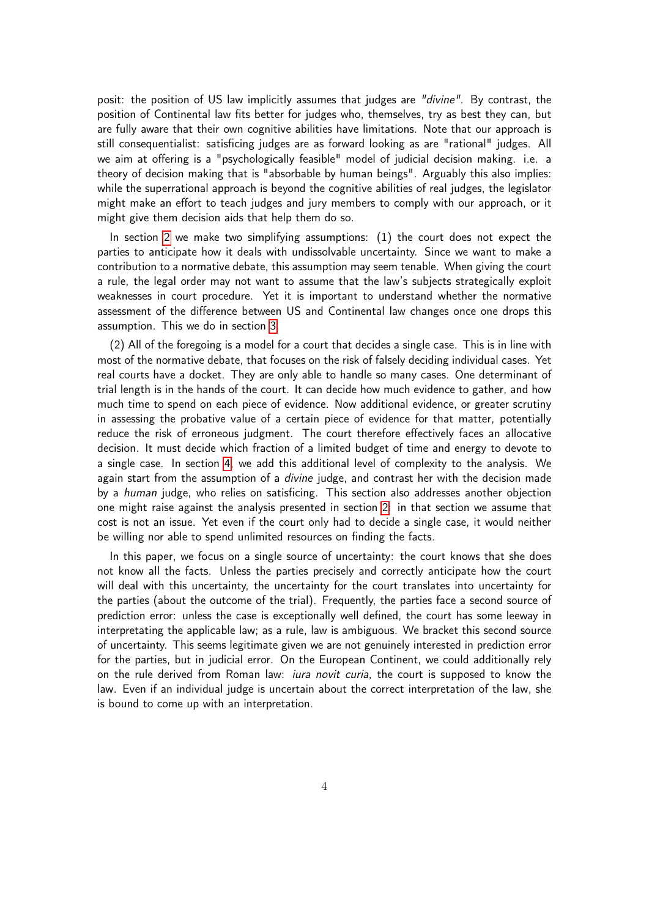posit: the position of US law implicitly assumes that judges are "divine". By contrast, the position of Continental law fits better for judges who, themselves, try as best they can, but are fully aware that their own cognitive abilities have limitations. Note that our approach is still consequentialist: satisficing judges are as forward looking as are "rational" judges. All we aim at offering is a "psychologically feasible" model of judicial decision making. i.e. a theory of decision making that is "absorbable by human beings". Arguably this also implies: while the superrational approach is beyond the cognitive abilities of real judges, the legislator might make an effort to teach judges and jury members to comply with our approach, or it might give them decision aids that help them do so.

In section [2](#page-6-0) we make two simplifying assumptions:  $(1)$  the court does not expect the parties to anticipate how it deals with undissolvable uncertainty. Since we want to make a contribution to a normative debate, this assumption may seem tenable. When giving the court a rule, the legal order may not want to assume that the law's subjects strategically exploit weaknesses in court procedure. Yet it is important to understand whether the normative assessment of the difference between US and Continental law changes once one drops this assumption. This we do in section [3.](#page-16-0)

(2) All of the foregoing is a model for a court that decides a single case. This is in line with most of the normative debate, that focuses on the risk of falsely deciding individual cases. Yet real courts have a docket. They are only able to handle so many cases. One determinant of trial length is in the hands of the court. It can decide how much evidence to gather, and how much time to spend on each piece of evidence. Now additional evidence, or greater scrutiny in assessing the probative value of a certain piece of evidence for that matter, potentially reduce the risk of erroneous judgment. The court therefore effectively faces an allocative decision. It must decide which fraction of a limited budget of time and energy to devote to a single case. In section [4,](#page-20-0) we add this additional level of complexity to the analysis. We again start from the assumption of a *divine* judge, and contrast her with the decision made by a human judge, who relies on satisficing. This section also addresses another objection one might raise against the analysis presented in section [2:](#page-6-0) in that section we assume that cost is not an issue. Yet even if the court only had to decide a single case, it would neither be willing nor able to spend unlimited resources on finding the facts.

In this paper, we focus on a single source of uncertainty: the court knows that she does not know all the facts. Unless the parties precisely and correctly anticipate how the court will deal with this uncertainty, the uncertainty for the court translates into uncertainty for the parties (about the outcome of the trial). Frequently, the parties face a second source of prediction error: unless the case is exceptionally well defined, the court has some leeway in interpretating the applicable law; as a rule, law is ambiguous. We bracket this second source of uncertainty. This seems legitimate given we are not genuinely interested in prediction error for the parties, but in judicial error. On the European Continent, we could additionally rely on the rule derived from Roman law: *iura novit curia*, the court is supposed to know the law. Even if an individual judge is uncertain about the correct interpretation of the law, she is bound to come up with an interpretation.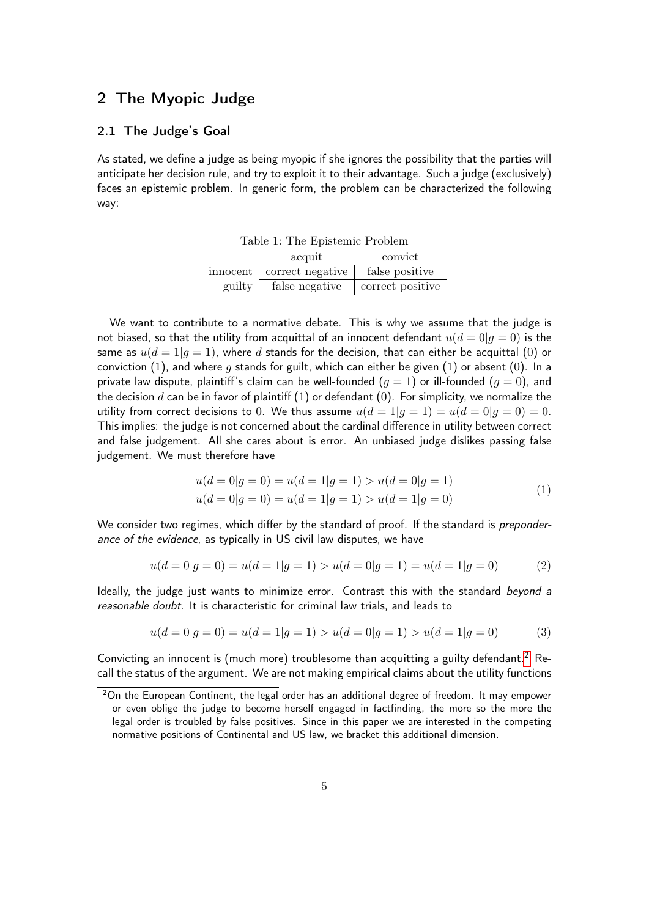# <span id="page-6-0"></span>2 The Myopic Judge

# <span id="page-6-1"></span>2.1 The Judge's Goal

As stated, we define a judge as being myopic if she ignores the possibility that the parties will anticipate her decision rule, and try to exploit it to their advantage. Such a judge (exclusively) faces an epistemic problem. In generic form, the problem can be characterized the following way:

Table 1: The Epistemic Problem

|        | acquit                      | convict          |
|--------|-----------------------------|------------------|
|        | innocent   correct negative | false positive   |
| guilty | false negative              | correct positive |

We want to contribute to a normative debate. This is why we assume that the judge is not biased, so that the utility from acquittal of an innocent defendant  $u(d = 0|q = 0)$  is the same as  $u(d = 1|g = 1)$ , where d stands for the decision, that can either be acquittal (0) or conviction (1), and where g stands for guilt, which can either be given (1) or absent (0). In a private law dispute, plaintiff's claim can be well-founded ( $q = 1$ ) or ill-founded ( $q = 0$ ), and the decision  $d$  can be in favor of plaintiff  $(1)$  or defendant  $(0)$ . For simplicity, we normalize the utility from correct decisions to 0. We thus assume  $u(d = 1|q = 1) = u(d = 0|q = 0) = 0$ . This implies: the judge is not concerned about the cardinal difference in utility between correct and false judgement. All she cares about is error. An unbiased judge dislikes passing false judgement. We must therefore have

$$
u(d = 0|g = 0) = u(d = 1|g = 1) > u(d = 0|g = 1)
$$
  

$$
u(d = 0|g = 0) = u(d = 1|g = 1) > u(d = 1|g = 0)
$$
  
(1)

<span id="page-6-5"></span>We consider two regimes, which differ by the standard of proof. If the standard is preponderance of the evidence, as typically in US civil law disputes, we have

<span id="page-6-3"></span>
$$
u(d = 0|g = 0) = u(d = 1|g = 1) > u(d = 0|g = 1) = u(d = 1|g = 0)
$$
\n(2)

Ideally, the judge just wants to minimize error. Contrast this with the standard beyond a reasonable doubt. It is characteristic for criminal law trials, and leads to

<span id="page-6-4"></span>
$$
u(d = 0|g = 0) = u(d = 1|g = 1) > u(d = 0|g = 1) > u(d = 1|g = 0)
$$
\n(3)

Convicting an innocent is (much more) troublesome than acquitting a guilty defendant.<sup>[2](#page-6-2)</sup> Recall the status of the argument. We are not making empirical claims about the utility functions

<span id="page-6-2"></span> $2$ On the European Continent, the legal order has an additional degree of freedom. It may empower or even oblige the judge to become herself engaged in factfinding, the more so the more the legal order is troubled by false positives. Since in this paper we are interested in the competing normative positions of Continental and US law, we bracket this additional dimension.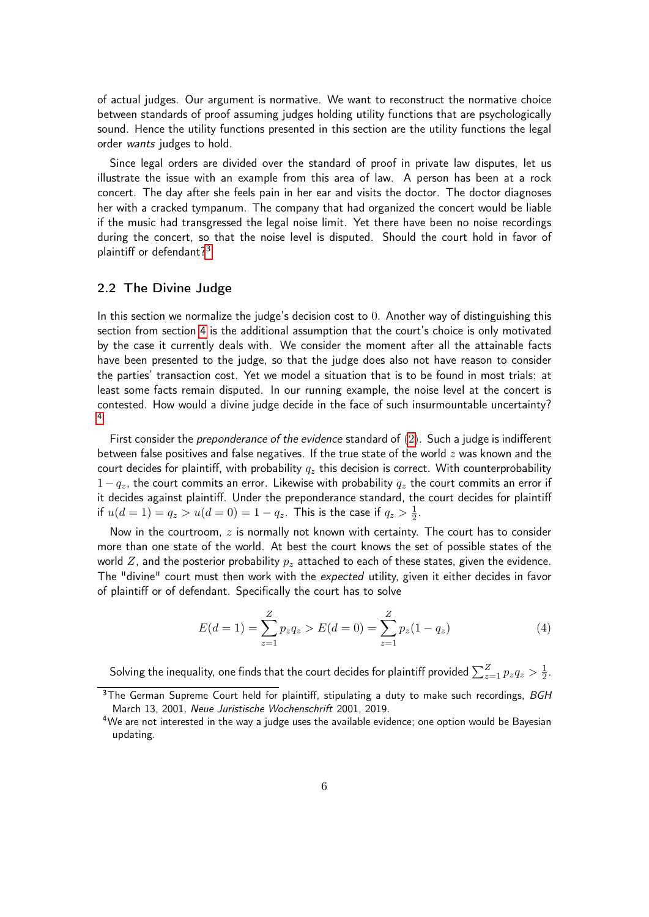of actual judges. Our argument is normative. We want to reconstruct the normative choice between standards of proof assuming judges holding utility functions that are psychologically sound. Hence the utility functions presented in this section are the utility functions the legal order wants judges to hold.

Since legal orders are divided over the standard of proof in private law disputes, let us illustrate the issue with an example from this area of law. A person has been at a rock concert. The day after she feels pain in her ear and visits the doctor. The doctor diagnoses her with a cracked tympanum. The company that had organized the concert would be liable if the music had transgressed the legal noise limit. Yet there have been no noise recordings during the concert, so that the noise level is disputed. Should the court hold in favor of plaintiff or defendant?[3](#page-7-1)

## <span id="page-7-0"></span>2.2 The Divine Judge

In this section we normalize the judge's decision cost to 0. Another way of distinguishing this section from section [4](#page-20-0) is the additional assumption that the court's choice is only motivated by the case it currently deals with. We consider the moment after all the attainable facts have been presented to the judge, so that the judge does also not have reason to consider the parties' transaction cost. Yet we model a situation that is to be found in most trials: at least some facts remain disputed. In our running example, the noise level at the concert is contested. How would a divine judge decide in the face of such insurmountable uncertainty? [4](#page-7-2)

First consider the *preponderance of the evidence standard* of  $(2)$ . Such a judge is indifferent between false positives and false negatives. If the true state of the world  $z$  was known and the court decides for plaintiff, with probability  $q_z$  this decision is correct. With counterprobability  $1-q_z$ , the court commits an error. Likewise with probability  $q_z$  the court commits an error if it decides against plaintiff. Under the preponderance standard, the court decides for plaintiff if  $u(d = 1) = q_z > u(d = 0) = 1 - q_z$ . This is the case if  $q_z > \frac{1}{2}$  $rac{1}{2}$ .

Now in the courtroom,  $z$  is normally not known with certainty. The court has to consider more than one state of the world. At best the court knows the set of possible states of the world Z, and the posterior probability  $p_z$  attached to each of these states, given the evidence. The "divine" court must then work with the expected utility, given it either decides in favor of plaintiff or of defendant. Specifically the court has to solve

<span id="page-7-3"></span>
$$
E(d=1) = \sum_{z=1}^{Z} p_z q_z > E(d=0) = \sum_{z=1}^{Z} p_z (1 - q_z)
$$
 (4)

Solving the inequality, one finds that the court decides for plaintiff provided  $\sum_{z=1}^Z p_z q_z > \frac{1}{2}$  $rac{1}{2}$ .

<span id="page-7-1"></span><sup>&</sup>lt;sup>3</sup>The German Supreme Court held for plaintiff, stipulating a duty to make such recordings,  $BGH$ March 13, 2001, Neue Juristische Wochenschrift 2001, 2019.

<span id="page-7-2"></span><sup>4</sup>We are not interested in the way a judge uses the available evidence; one option would be Bayesian updating.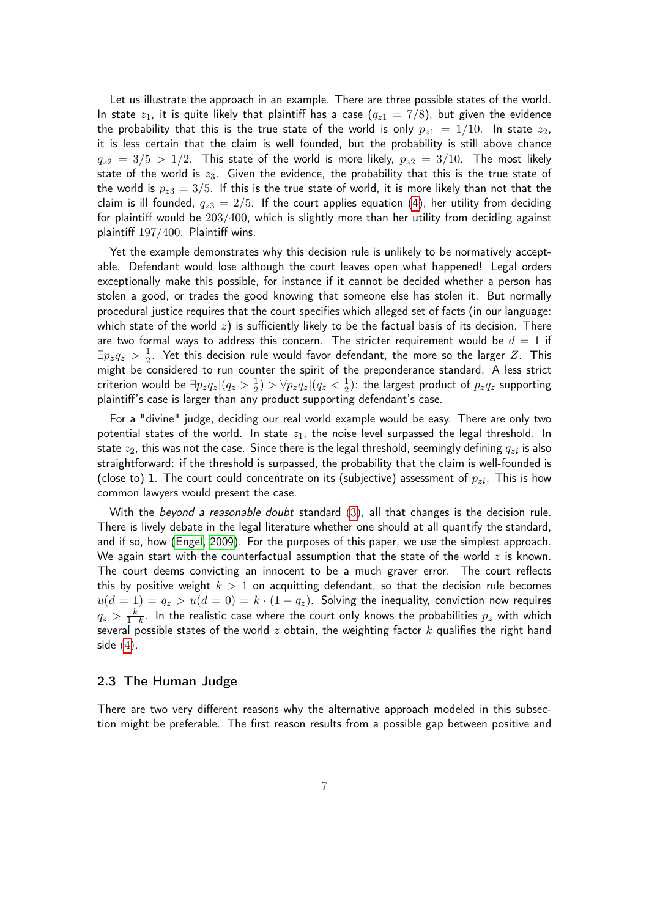Let us illustrate the approach in an example. There are three possible states of the world. In state  $z_1$ , it is quite likely that plaintiff has a case  $(q_{z1} = 7/8)$ , but given the evidence the probability that this is the true state of the world is only  $p_{z1} = 1/10$ . In state  $z_2$ , it is less certain that the claim is well founded, but the probability is still above chance  $q_{z2} = 3/5 > 1/2$ . This state of the world is more likely,  $p_{z2} = 3/10$ . The most likely state of the world is  $z_3$ . Given the evidence, the probability that this is the true state of the world is  $p_{z3} = 3/5$ . If this is the true state of world, it is more likely than not that the claim is ill founded,  $q_{z3} = 2/5$ . If the court applies equation [\(4\)](#page-7-3), her utility from deciding for plaintiff would be 203/400, which is slightly more than her utility from deciding against plaintiff 197/400. Plaintiff wins.

Yet the example demonstrates why this decision rule is unlikely to be normatively acceptable. Defendant would lose although the court leaves open what happened! Legal orders exceptionally make this possible, for instance if it cannot be decided whether a person has stolen a good, or trades the good knowing that someone else has stolen it. But normally procedural justice requires that the court specifies which alleged set of facts (in our language: which state of the world z) is sufficiently likely to be the factual basis of its decision. There are two formal ways to address this concern. The stricter requirement would be  $d = 1$  if  $\exists p_z q_z > \frac{1}{2}$  $\frac{1}{2}$ . Yet this decision rule would favor defendant, the more so the larger  $Z$ . This might be considered to run counter the spirit of the preponderance standard. A less strict criterion would be  $\exists p_z q_z | (q_z > \frac{1}{2})$  $(\frac{1}{2}) > \forall p_z q_z | (q_z < \frac{1}{2})$  $\frac{1}{2}$ ): the largest product of  $p_z q_z$  supporting plaintiff's case is larger than any product supporting defendant's case.

For a "divine" judge, deciding our real world example would be easy. There are only two potential states of the world. In state  $z_1$ , the noise level surpassed the legal threshold. In state  $z_2$ , this was not the case. Since there is the legal threshold, seemingly defining  $q_{zi}$  is also straightforward: if the threshold is surpassed, the probability that the claim is well-founded is (close to) 1. The court could concentrate on its (subjective) assessment of  $p_{zi}$ . This is how common lawyers would present the case.

With the beyond a reasonable doubt standard  $(3)$ , all that changes is the decision rule. There is lively debate in the legal literature whether one should at all quantify the standard, and if so, how [\(Engel, 2009\)](#page-24-0). For the purposes of this paper, we use the simplest approach. We again start with the counterfactual assumption that the state of the world  $z$  is known. The court deems convicting an innocent to be a much graver error. The court reflects this by positive weight  $k > 1$  on acquitting defendant, so that the decision rule becomes  $u(d = 1) = q_z > u(d = 0) = k \cdot (1 - q_z)$ . Solving the inequality, conviction now requires  $q_z > \frac{k}{1+}$  $\frac{k}{1+k}$  . In the realistic case where the court only knows the probabilities  $p_z$  with which several possible states of the world z obtain, the weighting factor k qualifies the right hand side  $(4)$ .

#### <span id="page-8-0"></span>2.3 The Human Judge

There are two very different reasons why the alternative approach modeled in this subsection might be preferable. The first reason results from a possible gap between positive and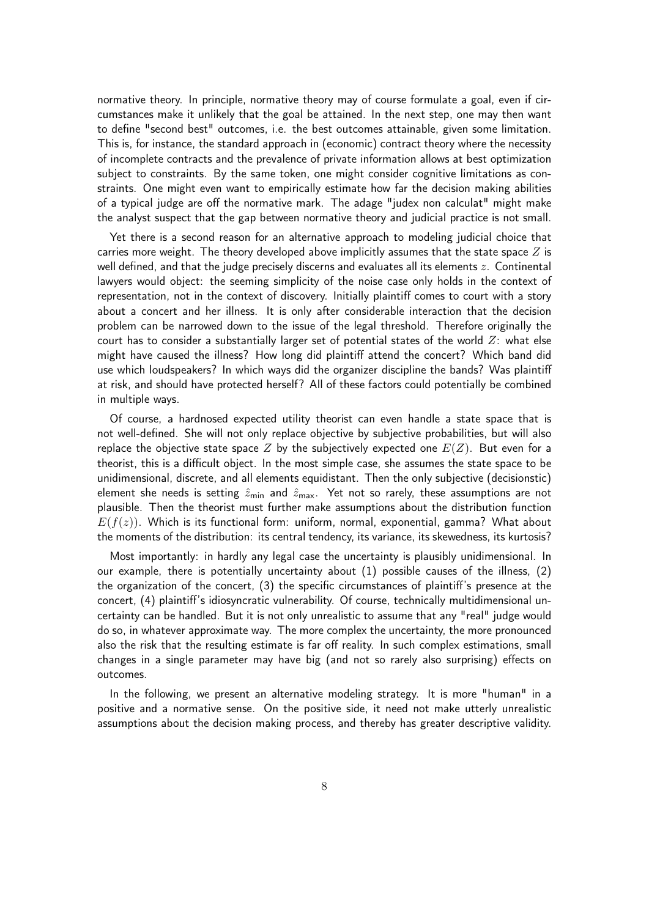normative theory. In principle, normative theory may of course formulate a goal, even if circumstances make it unlikely that the goal be attained. In the next step, one may then want to define "second best" outcomes, i.e. the best outcomes attainable, given some limitation. This is, for instance, the standard approach in (economic) contract theory where the necessity of incomplete contracts and the prevalence of private information allows at best optimization subject to constraints. By the same token, one might consider cognitive limitations as constraints. One might even want to empirically estimate how far the decision making abilities of a typical judge are off the normative mark. The adage "judex non calculat" might make the analyst suspect that the gap between normative theory and judicial practice is not small.

Yet there is a second reason for an alternative approach to modeling judicial choice that carries more weight. The theory developed above implicitly assumes that the state space  $Z$  is well defined, and that the judge precisely discerns and evaluates all its elements  $z$ . Continental lawyers would object: the seeming simplicity of the noise case only holds in the context of representation, not in the context of discovery. Initially plaintiff comes to court with a story about a concert and her illness. It is only after considerable interaction that the decision problem can be narrowed down to the issue of the legal threshold. Therefore originally the court has to consider a substantially larger set of potential states of the world  $Z$ : what else might have caused the illness? How long did plaintiff attend the concert? Which band did use which loudspeakers? In which ways did the organizer discipline the bands? Was plaintiff at risk, and should have protected herself? All of these factors could potentially be combined in multiple ways.

Of course, a hardnosed expected utility theorist can even handle a state space that is not well-defined. She will not only replace objective by subjective probabilities, but will also replace the objective state space Z by the subjectively expected one  $E(Z)$ . But even for a theorist, this is a difficult object. In the most simple case, she assumes the state space to be unidimensional, discrete, and all elements equidistant. Then the only subjective (decisionstic) element she needs is setting  $\hat{z}_{\text{min}}$  and  $\hat{z}_{\text{max}}$ . Yet not so rarely, these assumptions are not plausible. Then the theorist must further make assumptions about the distribution function  $E(f(z))$ . Which is its functional form: uniform, normal, exponential, gamma? What about the moments of the distribution: its central tendency, its variance, its skewedness, its kurtosis?

Most importantly: in hardly any legal case the uncertainty is plausibly unidimensional. In our example, there is potentially uncertainty about (1) possible causes of the illness, (2) the organization of the concert, (3) the specific circumstances of plaintiff's presence at the concert, (4) plaintiff's idiosyncratic vulnerability. Of course, technically multidimensional uncertainty can be handled. But it is not only unrealistic to assume that any "real" judge would do so, in whatever approximate way. The more complex the uncertainty, the more pronounced also the risk that the resulting estimate is far off reality. In such complex estimations, small changes in a single parameter may have big (and not so rarely also surprising) effects on outcomes.

In the following, we present an alternative modeling strategy. It is more "human" in a positive and a normative sense. On the positive side, it need not make utterly unrealistic assumptions about the decision making process, and thereby has greater descriptive validity.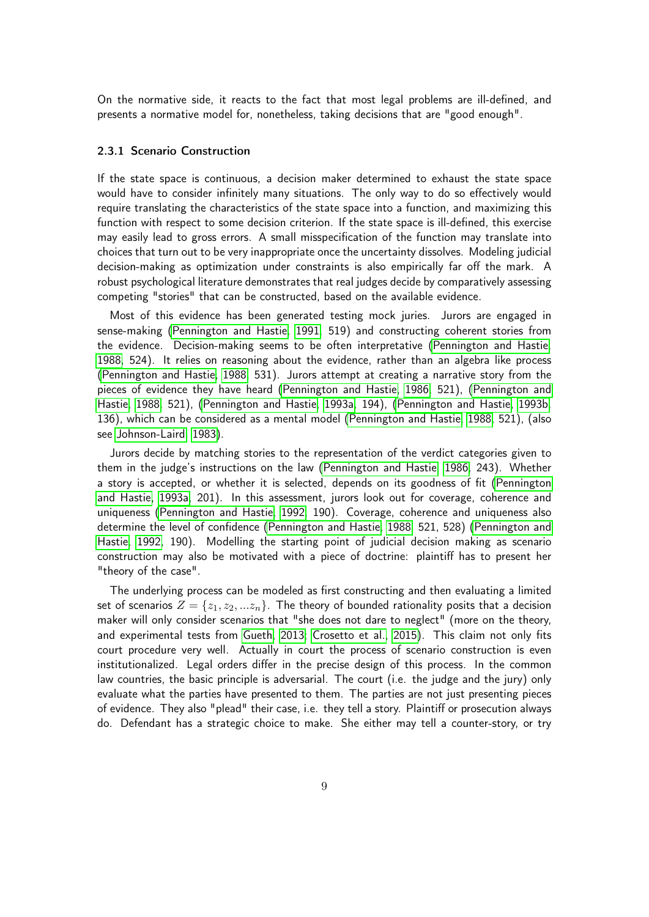On the normative side, it reacts to the fact that most legal problems are ill-defined, and presents a normative model for, nonetheless, taking decisions that are "good enough".

# <span id="page-10-0"></span>2.3.1 Scenario Construction

If the state space is continuous, a decision maker determined to exhaust the state space would have to consider infinitely many situations. The only way to do so effectively would require translating the characteristics of the state space into a function, and maximizing this function with respect to some decision criterion. If the state space is ill-defined, this exercise may easily lead to gross errors. A small misspecification of the function may translate into choices that turn out to be very inappropriate once the uncertainty dissolves. Modeling judicial decision-making as optimization under constraints is also empirically far off the mark. A robust psychological literature demonstrates that real judges decide by comparatively assessing competing "stories" that can be constructed, based on the available evidence.

Most of this evidence has been generated testing mock juries. Jurors are engaged in sense-making [\(Pennington and Hastie, 1991,](#page-24-2) 519) and constructing coherent stories from the evidence. Decision-making seems to be often interpretative [\(Pennington and Hastie,](#page-24-3) [1988,](#page-24-3) 524). It relies on reasoning about the evidence, rather than an algebra like process [\(Pennington and Hastie, 1988,](#page-24-3) 531). Jurors attempt at creating a narrative story from the pieces of evidence they have heard [\(Pennington and Hastie, 1986,](#page-24-4) 521), [\(Pennington and](#page-24-3) [Hastie, 1988,](#page-24-3) 521), [\(Pennington and Hastie, 1993a,](#page-24-5) 194), [\(Pennington and Hastie, 1993b,](#page-24-6) 136), which can be considered as a mental model [\(Pennington and Hastie, 1988,](#page-24-3) 521), (also see [Johnson-Laird, 1983\)](#page-24-7).

Jurors decide by matching stories to the representation of the verdict categories given to them in the judge's instructions on the law [\(Pennington and Hastie, 1986,](#page-24-4) 243). Whether a story is accepted, or whether it is selected, depends on its goodness of fit [\(Pennington](#page-24-5) [and Hastie, 1993a,](#page-24-5) 201). In this assessment, jurors look out for coverage, coherence and uniqueness [\(Pennington and Hastie, 1992,](#page-24-8) 190). Coverage, coherence and uniqueness also determine the level of confidence [\(Pennington and Hastie, 1988,](#page-24-3) 521, 528) [\(Pennington and](#page-24-8) [Hastie, 1992,](#page-24-8) 190). Modelling the starting point of judicial decision making as scenario construction may also be motivated with a piece of doctrine: plaintiff has to present her "theory of the case".

The underlying process can be modeled as first constructing and then evaluating a limited set of scenarios  $Z = \{z_1, z_2, ... z_n\}$ . The theory of bounded rationality posits that a decision maker will only consider scenarios that "she does not dare to neglect" (more on the theory, and experimental tests from [Gueth, 2013;](#page-24-9) [Crosetto et al., 2015\)](#page-24-10). This claim not only fits court procedure very well. Actually in court the process of scenario construction is even institutionalized. Legal orders differ in the precise design of this process. In the common law countries, the basic principle is adversarial. The court (i.e. the judge and the jury) only evaluate what the parties have presented to them. The parties are not just presenting pieces of evidence. They also "plead" their case, i.e. they tell a story. Plaintiff or prosecution always do. Defendant has a strategic choice to make. She either may tell a counter-story, or try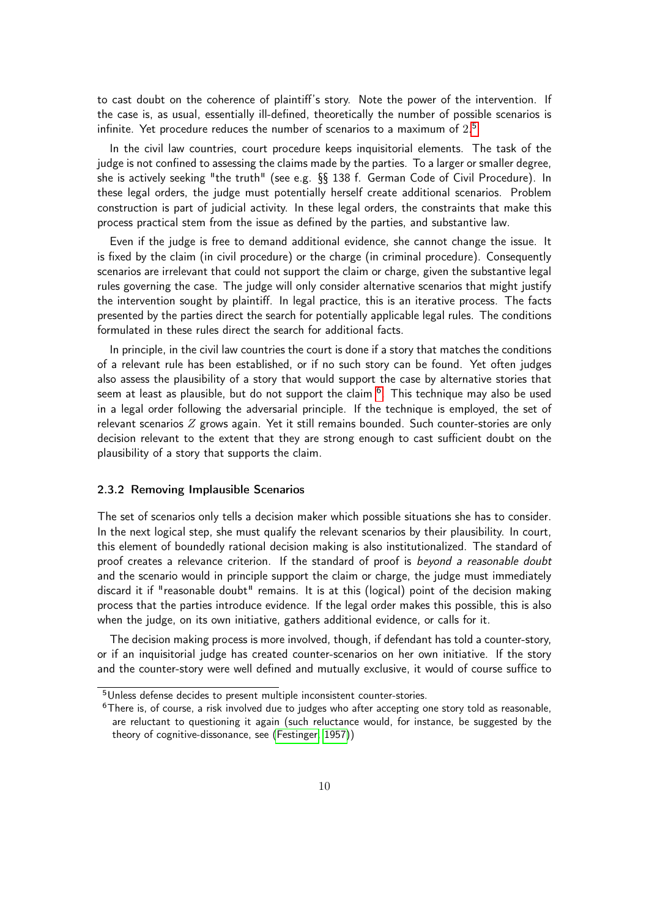to cast doubt on the coherence of plaintiff's story. Note the power of the intervention. If the case is, as usual, essentially ill-defined, theoretically the number of possible scenarios is infinite. Yet procedure reduces the number of scenarios to a maximum of  $2.5$  $2.5$ 

In the civil law countries, court procedure keeps inquisitorial elements. The task of the judge is not confined to assessing the claims made by the parties. To a larger or smaller degree, she is actively seeking "the truth" (see e.g. §§ 138 f. German Code of Civil Procedure). In these legal orders, the judge must potentially herself create additional scenarios. Problem construction is part of judicial activity. In these legal orders, the constraints that make this process practical stem from the issue as defined by the parties, and substantive law.

Even if the judge is free to demand additional evidence, she cannot change the issue. It is fixed by the claim (in civil procedure) or the charge (in criminal procedure). Consequently scenarios are irrelevant that could not support the claim or charge, given the substantive legal rules governing the case. The judge will only consider alternative scenarios that might justify the intervention sought by plaintiff. In legal practice, this is an iterative process. The facts presented by the parties direct the search for potentially applicable legal rules. The conditions formulated in these rules direct the search for additional facts.

In principle, in the civil law countries the court is done if a story that matches the conditions of a relevant rule has been established, or if no such story can be found. Yet often judges also assess the plausibility of a story that would support the case by alternative stories that seem at least as plausible, but do not support the claim  $^6$  $^6$ . This technique may also be used in a legal order following the adversarial principle. If the technique is employed, the set of relevant scenarios  $Z$  grows again. Yet it still remains bounded. Such counter-stories are only decision relevant to the extent that they are strong enough to cast sufficient doubt on the plausibility of a story that supports the claim.

#### <span id="page-11-0"></span>2.3.2 Removing Implausible Scenarios

The set of scenarios only tells a decision maker which possible situations she has to consider. In the next logical step, she must qualify the relevant scenarios by their plausibility. In court, this element of boundedly rational decision making is also institutionalized. The standard of proof creates a relevance criterion. If the standard of proof is beyond a reasonable doubt and the scenario would in principle support the claim or charge, the judge must immediately discard it if "reasonable doubt" remains. It is at this (logical) point of the decision making process that the parties introduce evidence. If the legal order makes this possible, this is also when the judge, on its own initiative, gathers additional evidence, or calls for it.

The decision making process is more involved, though, if defendant has told a counter-story, or if an inquisitorial judge has created counter-scenarios on her own initiative. If the story and the counter-story were well defined and mutually exclusive, it would of course suffice to

<span id="page-11-1"></span><sup>5</sup>Unless defense decides to present multiple inconsistent counter-stories.

<span id="page-11-2"></span><sup>&</sup>lt;sup>6</sup>There is, of course, a risk involved due to judges who after accepting one story told as reasonable, are reluctant to questioning it again (such reluctance would, for instance, be suggested by the theory of cognitive-dissonance, see [\(Festinger, 1957\)](#page-24-11))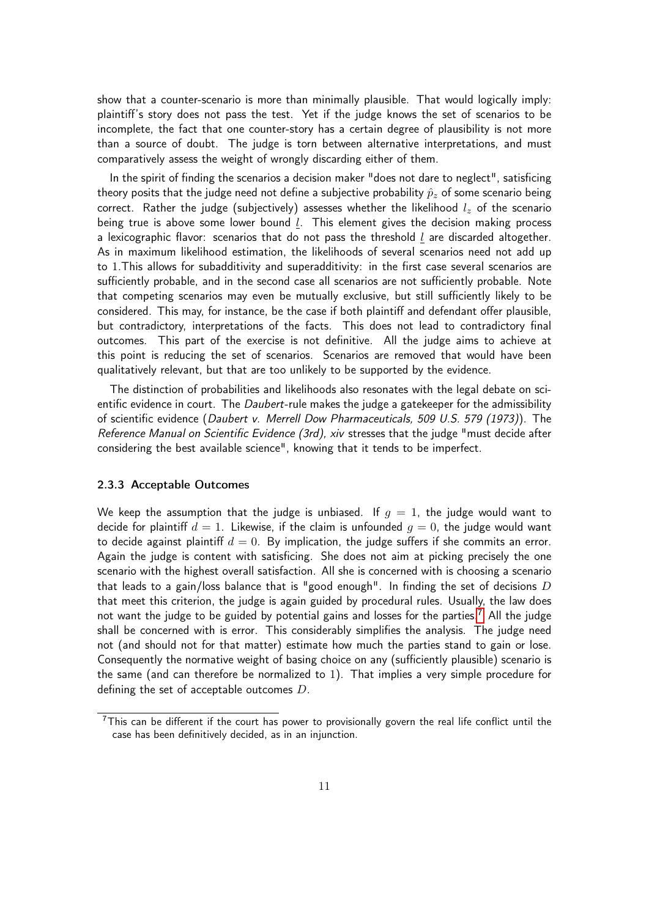show that a counter-scenario is more than minimally plausible. That would logically imply: plaintiff's story does not pass the test. Yet if the judge knows the set of scenarios to be incomplete, the fact that one counter-story has a certain degree of plausibility is not more than a source of doubt. The judge is torn between alternative interpretations, and must comparatively assess the weight of wrongly discarding either of them.

In the spirit of finding the scenarios a decision maker "does not dare to neglect", satisficing theory posits that the judge need not define a subjective probability  $\hat{p}_z$  of some scenario being correct. Rather the judge (subjectively) assesses whether the likelihood  $l_z$  of the scenario being true is above some lower bound  $l$ . This element gives the decision making process a lexicographic flavor: scenarios that do not pass the threshold  $l$  are discarded altogether. As in maximum likelihood estimation, the likelihoods of several scenarios need not add up to 1.This allows for subadditivity and superadditivity: in the first case several scenarios are sufficiently probable, and in the second case all scenarios are not sufficiently probable. Note that competing scenarios may even be mutually exclusive, but still sufficiently likely to be considered. This may, for instance, be the case if both plaintiff and defendant offer plausible, but contradictory, interpretations of the facts. This does not lead to contradictory final outcomes. This part of the exercise is not definitive. All the judge aims to achieve at this point is reducing the set of scenarios. Scenarios are removed that would have been qualitatively relevant, but that are too unlikely to be supported by the evidence.

The distinction of probabilities and likelihoods also resonates with the legal debate on scientific evidence in court. The *Daubert*-rule makes the judge a gatekeeper for the admissibility of scientific evidence (Daubert v. Merrell Dow Pharmaceuticals, 509 U.S. 579 (1973)). The Reference Manual on Scientific Evidence (3rd), xiv stresses that the judge "must decide after considering the best available science", knowing that it tends to be imperfect.

## <span id="page-12-0"></span>2.3.3 Acceptable Outcomes

We keep the assumption that the judge is unbiased. If  $q = 1$ , the judge would want to decide for plaintiff  $d = 1$ . Likewise, if the claim is unfounded  $q = 0$ , the judge would want to decide against plaintiff  $d = 0$ . By implication, the judge suffers if she commits an error. Again the judge is content with satisficing. She does not aim at picking precisely the one scenario with the highest overall satisfaction. All she is concerned with is choosing a scenario that leads to a gain/loss balance that is "good enough". In finding the set of decisions  $D$ that meet this criterion, the judge is again guided by procedural rules. Usually, the law does not want the judge to be guided by potential gains and losses for the parties.<sup>[7](#page-12-1)</sup> All the judge shall be concerned with is error. This considerably simplifies the analysis. The judge need not (and should not for that matter) estimate how much the parties stand to gain or lose. Consequently the normative weight of basing choice on any (sufficiently plausible) scenario is the same (and can therefore be normalized to 1). That implies a very simple procedure for defining the set of acceptable outcomes D.

<span id="page-12-1"></span> $7$ This can be different if the court has power to provisionally govern the real life conflict until the case has been definitively decided, as in an injunction.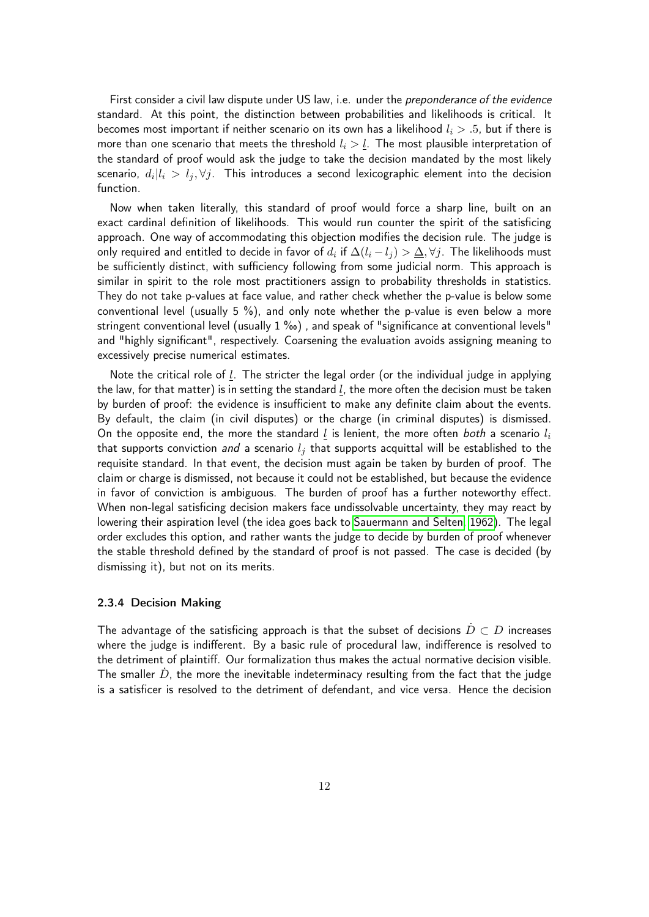First consider a civil law dispute under US law, i.e. under the *preponderance of the evidence* standard. At this point, the distinction between probabilities and likelihoods is critical. It becomes most important if neither scenario on its own has a likelihood  $l_i > 0.5$ , but if there is more than one scenario that meets the threshold  $l_i > l$ . The most plausible interpretation of the standard of proof would ask the judge to take the decision mandated by the most likely scenario,  $d_i | l_i > l_j, \forall j$ . This introduces a second lexicographic element into the decision function.

Now when taken literally, this standard of proof would force a sharp line, built on an exact cardinal definition of likelihoods. This would run counter the spirit of the satisficing approach. One way of accommodating this objection modifies the decision rule. The judge is only required and entitled to decide in favor of  $d_i$  if  $\Delta(l_i-l_j)>\underline{\Delta},\forall j.$  The likelihoods must be sufficiently distinct, with sufficiency following from some judicial norm. This approach is similar in spirit to the role most practitioners assign to probability thresholds in statistics. They do not take p-values at face value, and rather check whether the p-value is below some conventional level (usually 5 %), and only note whether the p-value is even below a more stringent conventional level (usually 1 ‰) , and speak of "significance at conventional levels" and "highly significant", respectively. Coarsening the evaluation avoids assigning meaning to excessively precise numerical estimates.

Note the critical role of  $l$ . The stricter the legal order (or the individual judge in applying the law, for that matter) is in setting the standard  $l$ , the more often the decision must be taken by burden of proof: the evidence is insufficient to make any definite claim about the events. By default, the claim (in civil disputes) or the charge (in criminal disputes) is dismissed. On the opposite end, the more the standard  $\underline{l}$  is lenient, the more often both a scenario  $l_i$ that supports conviction and a scenario  $l_j$  that supports acquittal will be established to the requisite standard. In that event, the decision must again be taken by burden of proof. The claim or charge is dismissed, not because it could not be established, but because the evidence in favor of conviction is ambiguous. The burden of proof has a further noteworthy effect. When non-legal satisficing decision makers face undissolvable uncertainty, they may react by lowering their aspiration level (the idea goes back to [Sauermann and Selten, 1962\)](#page-25-1). The legal order excludes this option, and rather wants the judge to decide by burden of proof whenever the stable threshold defined by the standard of proof is not passed. The case is decided (by dismissing it), but not on its merits.

#### <span id="page-13-0"></span>2.3.4 Decision Making

The advantage of the satisficing approach is that the subset of decisions  $D \subset D$  increases where the judge is indifferent. By a basic rule of procedural law, indifference is resolved to the detriment of plaintiff. Our formalization thus makes the actual normative decision visible. The smaller  $\dot{D}$ , the more the inevitable indeterminacy resulting from the fact that the judge is a satisficer is resolved to the detriment of defendant, and vice versa. Hence the decision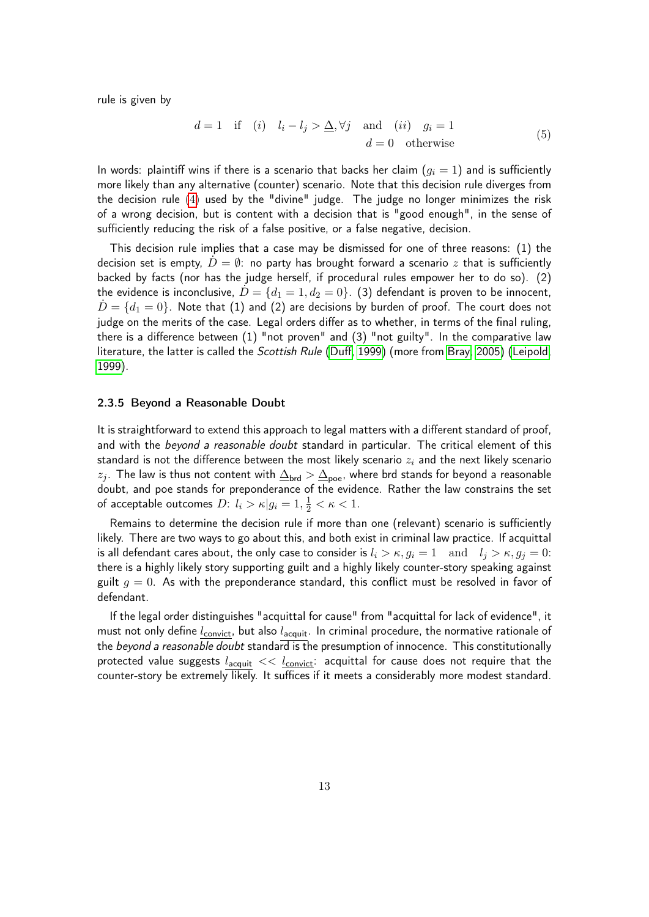rule is given by

$$
d = 1 \quad \text{if} \quad (i) \quad l_i - l_j > \underline{\Delta}, \forall j \quad \text{and} \quad (ii) \quad g_i = 1
$$
\n
$$
d = 0 \quad \text{otherwise} \tag{5}
$$

In words: plaintiff wins if there is a scenario that backs her claim  $(g_i = 1)$  and is sufficiently more likely than any alternative (counter) scenario. Note that this decision rule diverges from the decision rule [\(4\)](#page-7-3) used by the "divine" judge. The judge no longer minimizes the risk of a wrong decision, but is content with a decision that is "good enough", in the sense of sufficiently reducing the risk of a false positive, or a false negative, decision.

This decision rule implies that a case may be dismissed for one of three reasons: (1) the decision set is empty,  $\dot{D} = \emptyset$ : no party has brought forward a scenario z that is sufficiently backed by facts (nor has the judge herself, if procedural rules empower her to do so). (2) the evidence is inconclusive,  $D = \{d_1 = 1, d_2 = 0\}$ . (3) defendant is proven to be innocent,  $\dot{D} = \{d_1 = 0\}$ . Note that (1) and (2) are decisions by burden of proof. The court does not judge on the merits of the case. Legal orders differ as to whether, in terms of the final ruling, there is a difference between (1) "not proven" and (3) "not guilty". In the comparative law literature, the latter is called the *Scottish Rule* [\(Duff, 1999\)](#page-24-12) (more from [Bray, 2005\)](#page-24-13) [\(Leipold,](#page-24-14) [1999\)](#page-24-14).

#### <span id="page-14-0"></span>2.3.5 Beyond a Reasonable Doubt

It is straightforward to extend this approach to legal matters with a different standard of proof, and with the beyond a reasonable doubt standard in particular. The critical element of this standard is not the difference between the most likely scenario  $z<sub>i</sub>$  and the next likely scenario  $z_j$ . The law is thus not content with  $\Delta_{\text{brd}} > \Delta_{\text{poe}}$ , where brd stands for beyond a reasonable doubt, and poe stands for preponderance of the evidence. Rather the law constrains the set of acceptable outcomes  $D: l_i > \kappa | g_i = 1, \frac{1}{2} < \kappa < 1.$ 

Remains to determine the decision rule if more than one (relevant) scenario is sufficiently likely. There are two ways to go about this, and both exist in criminal law practice. If acquittal is all defendant cares about, the only case to consider is  $l_i > \kappa, g_i = 1$  and  $l_j > \kappa, g_j = 0$ : there is a highly likely story supporting guilt and a highly likely counter-story speaking against guilt  $g = 0$ . As with the preponderance standard, this conflict must be resolved in favor of defendant.

If the legal order distinguishes "acquittal for cause" from "acquittal for lack of evidence", it must not only define  $l_{\text{convict}}$ , but also  $l_{\text{acquit}}$ . In criminal procedure, the normative rationale of the beyond a reasonable doubt standard is the presumption of innocence. This constitutionally protected value suggests  $l_{\text{acquit}} \ll l_{\text{convict}}$ : acquittal for cause does not require that the counter-story be extremely likely. It suffices if it meets a considerably more modest standard.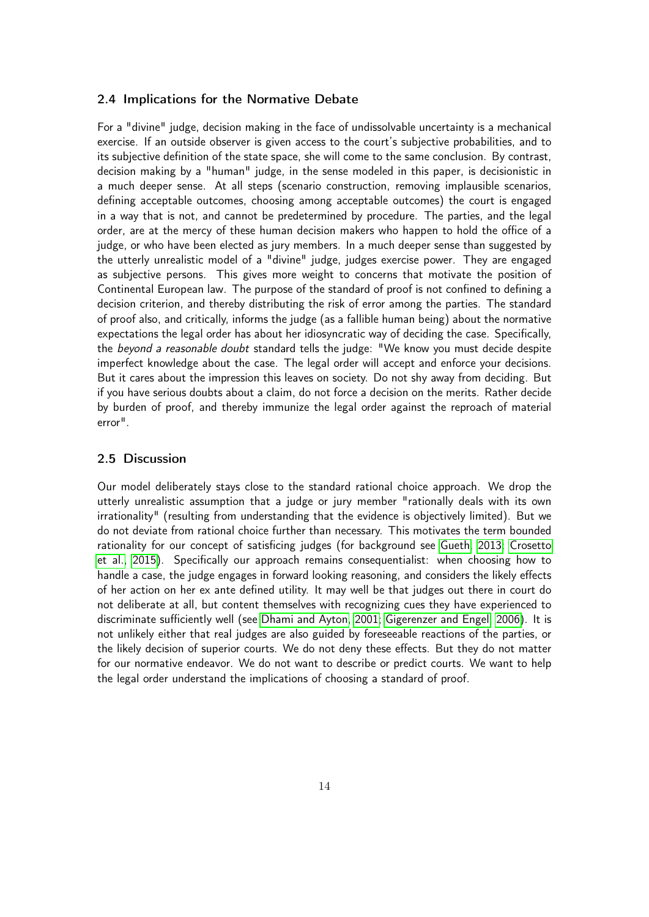## <span id="page-15-0"></span>2.4 Implications for the Normative Debate

For a "divine" judge, decision making in the face of undissolvable uncertainty is a mechanical exercise. If an outside observer is given access to the court's subjective probabilities, and to its subjective definition of the state space, she will come to the same conclusion. By contrast, decision making by a "human" judge, in the sense modeled in this paper, is decisionistic in a much deeper sense. At all steps (scenario construction, removing implausible scenarios, defining acceptable outcomes, choosing among acceptable outcomes) the court is engaged in a way that is not, and cannot be predetermined by procedure. The parties, and the legal order, are at the mercy of these human decision makers who happen to hold the office of a judge, or who have been elected as jury members. In a much deeper sense than suggested by the utterly unrealistic model of a "divine" judge, judges exercise power. They are engaged as subjective persons. This gives more weight to concerns that motivate the position of Continental European law. The purpose of the standard of proof is not confined to defining a decision criterion, and thereby distributing the risk of error among the parties. The standard of proof also, and critically, informs the judge (as a fallible human being) about the normative expectations the legal order has about her idiosyncratic way of deciding the case. Specifically, the *beyond a reasonable doubt* standard tells the judge: "We know you must decide despite imperfect knowledge about the case. The legal order will accept and enforce your decisions. But it cares about the impression this leaves on society. Do not shy away from deciding. But if you have serious doubts about a claim, do not force a decision on the merits. Rather decide by burden of proof, and thereby immunize the legal order against the reproach of material error".

## <span id="page-15-1"></span>2.5 Discussion

Our model deliberately stays close to the standard rational choice approach. We drop the utterly unrealistic assumption that a judge or jury member "rationally deals with its own irrationality" (resulting from understanding that the evidence is objectively limited). But we do not deviate from rational choice further than necessary. This motivates the term bounded rationality for our concept of satisficing judges (for background see [Gueth, 2013;](#page-24-9) [Crosetto](#page-24-10) [et al., 2015\)](#page-24-10). Specifically our approach remains consequentialist: when choosing how to handle a case, the judge engages in forward looking reasoning, and considers the likely effects of her action on her ex ante defined utility. It may well be that judges out there in court do not deliberate at all, but content themselves with recognizing cues they have experienced to discriminate sufficiently well (see [Dhami and Ayton, 2001;](#page-24-15) [Gigerenzer and Engel, 2006\)](#page-24-16). It is not unlikely either that real judges are also guided by foreseeable reactions of the parties, or the likely decision of superior courts. We do not deny these effects. But they do not matter for our normative endeavor. We do not want to describe or predict courts. We want to help the legal order understand the implications of choosing a standard of proof.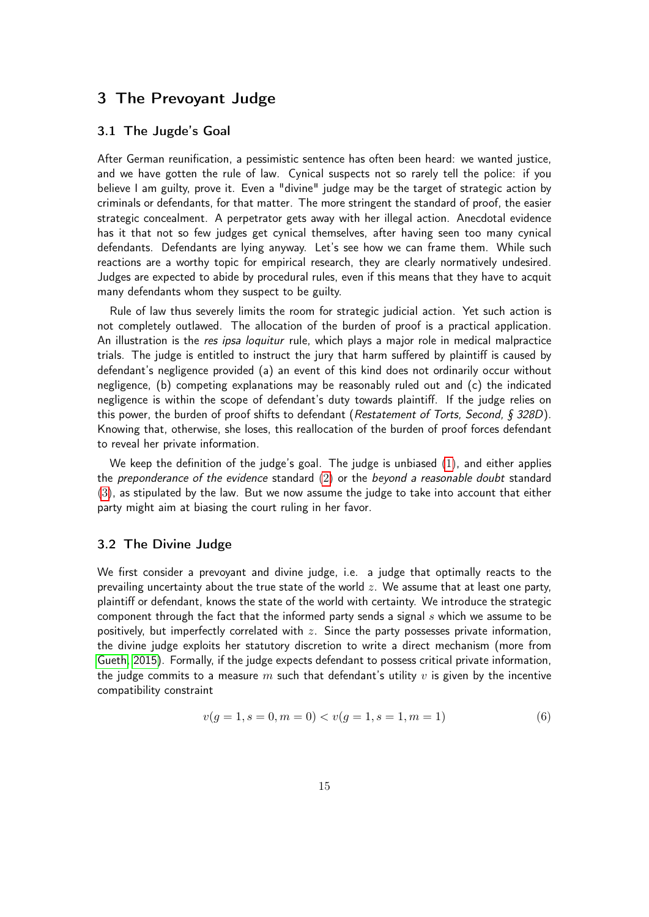# <span id="page-16-0"></span>3 The Prevoyant Judge

# <span id="page-16-1"></span>3.1 The Jugde's Goal

After German reunification, a pessimistic sentence has often been heard: we wanted justice, and we have gotten the rule of law. Cynical suspects not so rarely tell the police: if you believe I am guilty, prove it. Even a "divine" judge may be the target of strategic action by criminals or defendants, for that matter. The more stringent the standard of proof, the easier strategic concealment. A perpetrator gets away with her illegal action. Anecdotal evidence has it that not so few judges get cynical themselves, after having seen too many cynical defendants. Defendants are lying anyway. Let's see how we can frame them. While such reactions are a worthy topic for empirical research, they are clearly normatively undesired. Judges are expected to abide by procedural rules, even if this means that they have to acquit many defendants whom they suspect to be guilty.

Rule of law thus severely limits the room for strategic judicial action. Yet such action is not completely outlawed. The allocation of the burden of proof is a practical application. An illustration is the *res ipsa loquitur* rule, which plays a major role in medical malpractice trials. The judge is entitled to instruct the jury that harm suffered by plaintiff is caused by defendant's negligence provided (a) an event of this kind does not ordinarily occur without negligence, (b) competing explanations may be reasonably ruled out and (c) the indicated negligence is within the scope of defendant's duty towards plaintiff. If the judge relies on this power, the burden of proof shifts to defendant (Restatement of Torts, Second, § 328D). Knowing that, otherwise, she loses, this reallocation of the burden of proof forces defendant to reveal her private information.

We keep the definition of the judge's goal. The judge is unbiased [\(1\)](#page-6-5), and either applies the preponderance of the evidence standard  $(2)$  or the beyond a reasonable doubt standard [\(3\)](#page-6-4), as stipulated by the law. But we now assume the judge to take into account that either party might aim at biasing the court ruling in her favor.

# <span id="page-16-2"></span>3.2 The Divine Judge

We first consider a prevoyant and divine judge, i.e. a judge that optimally reacts to the prevailing uncertainty about the true state of the world  $z$ . We assume that at least one party, plaintiff or defendant, knows the state of the world with certainty. We introduce the strategic component through the fact that the informed party sends a signal  $s$  which we assume to be positively, but imperfectly correlated with  $z$ . Since the party possesses private information, the divine judge exploits her statutory discretion to write a direct mechanism (more from [Gueth, 2015\)](#page-24-17). Formally, if the judge expects defendant to possess critical private information, the judge commits to a measure  $m$  such that defendant's utility  $v$  is given by the incentive compatibility constraint

<span id="page-16-3"></span>
$$
v(g = 1, s = 0, m = 0) < v(g = 1, s = 1, m = 1) \tag{6}
$$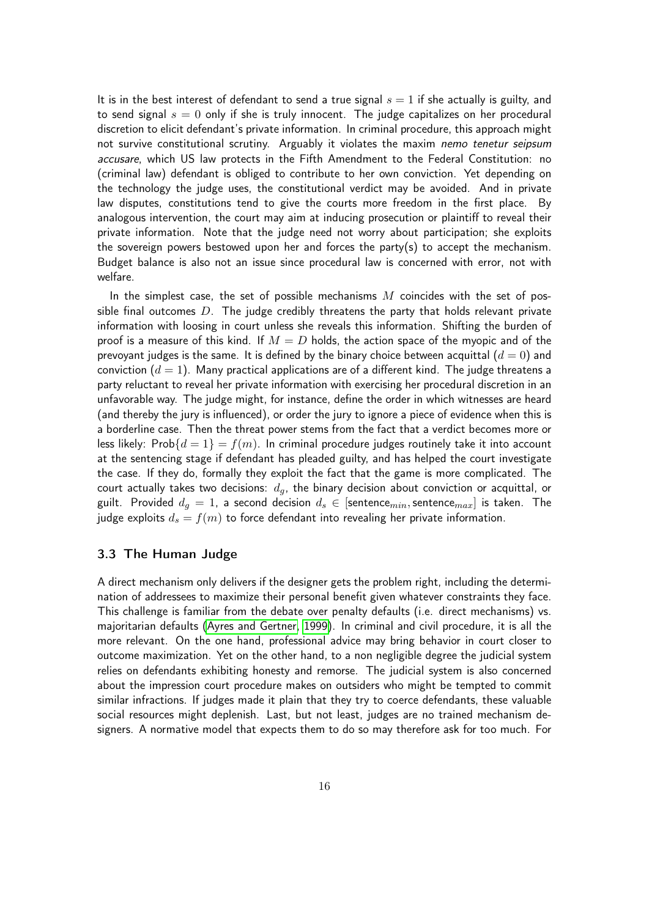It is in the best interest of defendant to send a true signal  $s = 1$  if she actually is guilty, and to send signal  $s = 0$  only if she is truly innocent. The judge capitalizes on her procedural discretion to elicit defendant's private information. In criminal procedure, this approach might not survive constitutional scrutiny. Arguably it violates the maxim *nemo tenetur seipsum* accusare, which US law protects in the Fifth Amendment to the Federal Constitution: no (criminal law) defendant is obliged to contribute to her own conviction. Yet depending on the technology the judge uses, the constitutional verdict may be avoided. And in private law disputes, constitutions tend to give the courts more freedom in the first place. By analogous intervention, the court may aim at inducing prosecution or plaintiff to reveal their private information. Note that the judge need not worry about participation; she exploits the sovereign powers bestowed upon her and forces the party(s) to accept the mechanism. Budget balance is also not an issue since procedural law is concerned with error, not with welfare.

In the simplest case, the set of possible mechanisms  $M$  coincides with the set of possible final outcomes  $D$ . The judge credibly threatens the party that holds relevant private information with loosing in court unless she reveals this information. Shifting the burden of proof is a measure of this kind. If  $M = D$  holds, the action space of the myopic and of the prevoyant judges is the same. It is defined by the binary choice between acquittal  $(d = 0)$  and conviction  $(d = 1)$ . Many practical applications are of a different kind. The judge threatens a party reluctant to reveal her private information with exercising her procedural discretion in an unfavorable way. The judge might, for instance, define the order in which witnesses are heard (and thereby the jury is influenced), or order the jury to ignore a piece of evidence when this is a borderline case. Then the threat power stems from the fact that a verdict becomes more or less likely: Prob ${d = 1} = f(m)$ . In criminal procedure judges routinely take it into account at the sentencing stage if defendant has pleaded guilty, and has helped the court investigate the case. If they do, formally they exploit the fact that the game is more complicated. The court actually takes two decisions:  $d_q$ , the binary decision about conviction or acquittal, or guilt. Provided  $d_g = 1$ , a second decision  $d_s \in [\text{sentence}_{min}, \text{sentence}_{max}]$  is taken. The judge exploits  $d_s = f(m)$  to force defendant into revealing her private information.

# <span id="page-17-0"></span>3.3 The Human Judge

A direct mechanism only delivers if the designer gets the problem right, including the determination of addressees to maximize their personal benefit given whatever constraints they face. This challenge is familiar from the debate over penalty defaults (i.e. direct mechanisms) vs. majoritarian defaults [\(Ayres and Gertner, 1999\)](#page-23-0). In criminal and civil procedure, it is all the more relevant. On the one hand, professional advice may bring behavior in court closer to outcome maximization. Yet on the other hand, to a non negligible degree the judicial system relies on defendants exhibiting honesty and remorse. The judicial system is also concerned about the impression court procedure makes on outsiders who might be tempted to commit similar infractions. If judges made it plain that they try to coerce defendants, these valuable social resources might deplenish. Last, but not least, judges are no trained mechanism designers. A normative model that expects them to do so may therefore ask for too much. For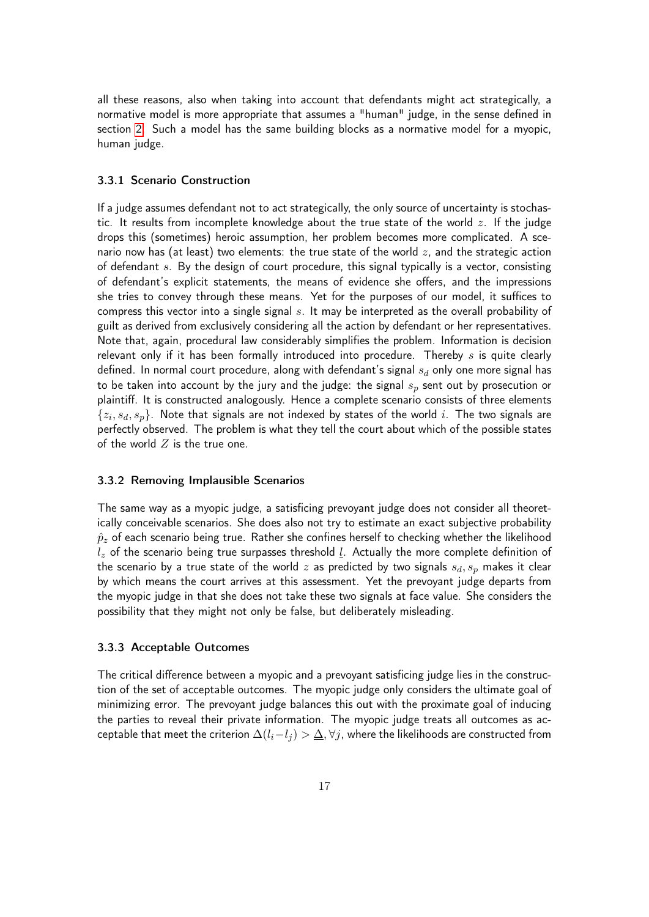all these reasons, also when taking into account that defendants might act strategically, a normative model is more appropriate that assumes a "human" judge, in the sense defined in section [2.](#page-6-0) Such a model has the same building blocks as a normative model for a myopic, human judge.

## <span id="page-18-0"></span>3.3.1 Scenario Construction

If a judge assumes defendant not to act strategically, the only source of uncertainty is stochastic. It results from incomplete knowledge about the true state of the world z. If the judge drops this (sometimes) heroic assumption, her problem becomes more complicated. A scenario now has (at least) two elements: the true state of the world  $z$ , and the strategic action of defendant s. By the design of court procedure, this signal typically is a vector, consisting of defendant's explicit statements, the means of evidence she offers, and the impressions she tries to convey through these means. Yet for the purposes of our model, it suffices to compress this vector into a single signal  $s$ . It may be interpreted as the overall probability of guilt as derived from exclusively considering all the action by defendant or her representatives. Note that, again, procedural law considerably simplifies the problem. Information is decision relevant only if it has been formally introduced into procedure. Thereby  $s$  is quite clearly defined. In normal court procedure, along with defendant's signal  $s_d$  only one more signal has to be taken into account by the jury and the judge: the signal  $s_p$  sent out by prosecution or plaintiff. It is constructed analogously. Hence a complete scenario consists of three elements  $\{z_i, s_d, s_p\}$ . Note that signals are not indexed by states of the world i. The two signals are perfectly observed. The problem is what they tell the court about which of the possible states of the world  $Z$  is the true one.

## <span id="page-18-1"></span>3.3.2 Removing Implausible Scenarios

The same way as a myopic judge, a satisficing prevoyant judge does not consider all theoretically conceivable scenarios. She does also not try to estimate an exact subjective probability  $\hat{p}_z$  of each scenario being true. Rather she confines herself to checking whether the likelihood  $l_z$  of the scenario being true surpasses threshold  $l$ . Actually the more complete definition of the scenario by a true state of the world z as predicted by two signals  $s_d, s_p$  makes it clear by which means the court arrives at this assessment. Yet the prevoyant judge departs from the myopic judge in that she does not take these two signals at face value. She considers the possibility that they might not only be false, but deliberately misleading.

#### <span id="page-18-2"></span>3.3.3 Acceptable Outcomes

The critical difference between a myopic and a prevoyant satisficing judge lies in the construction of the set of acceptable outcomes. The myopic judge only considers the ultimate goal of minimizing error. The prevoyant judge balances this out with the proximate goal of inducing the parties to reveal their private information. The myopic judge treats all outcomes as acceptable that meet the criterion  $\Delta(l_i-l_j) > \Delta$ ,  $\forall j$ , where the likelihoods are constructed from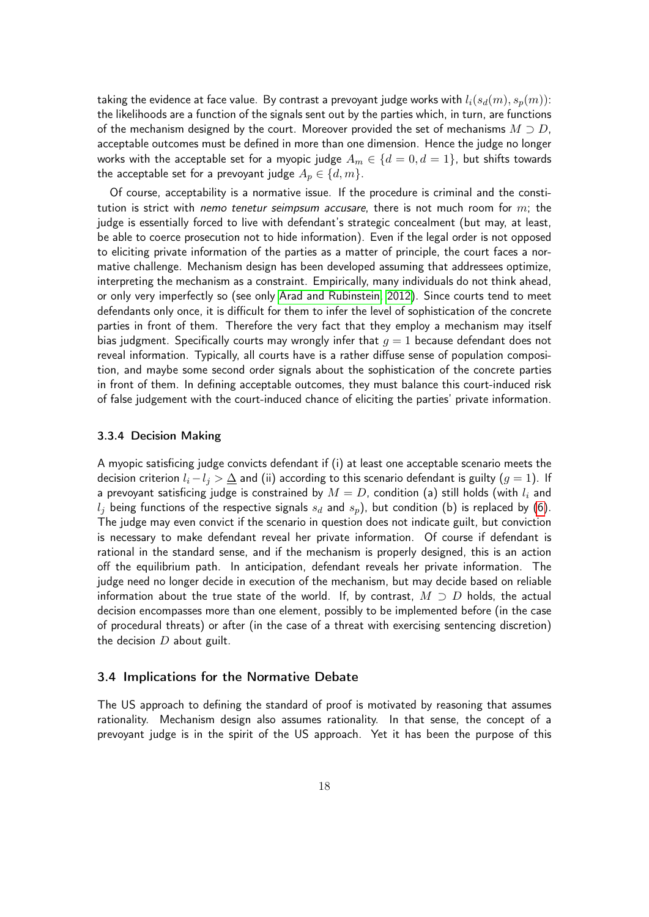taking the evidence at face value. By contrast a prevoyant judge works with  $l_i(s_d(m), s_n(m))$ : the likelihoods are a function of the signals sent out by the parties which, in turn, are functions of the mechanism designed by the court. Moreover provided the set of mechanisms  $M \supset D$ , acceptable outcomes must be defined in more than one dimension. Hence the judge no longer works with the acceptable set for a myopic judge  $A_m \in \{d = 0, d = 1\}$ , but shifts towards the acceptable set for a prevoyant judge  $A_p \in \{d, m\}$ .

Of course, acceptability is a normative issue. If the procedure is criminal and the constitution is strict with nemo tenetur seimpsum accusare, there is not much room for  $m$ ; the judge is essentially forced to live with defendant's strategic concealment (but may, at least, be able to coerce prosecution not to hide information). Even if the legal order is not opposed to eliciting private information of the parties as a matter of principle, the court faces a normative challenge. Mechanism design has been developed assuming that addressees optimize, interpreting the mechanism as a constraint. Empirically, many individuals do not think ahead, or only very imperfectly so (see only [Arad and Rubinstein, 2012\)](#page-23-1). Since courts tend to meet defendants only once, it is difficult for them to infer the level of sophistication of the concrete parties in front of them. Therefore the very fact that they employ a mechanism may itself bias judgment. Specifically courts may wrongly infer that  $q = 1$  because defendant does not reveal information. Typically, all courts have is a rather diffuse sense of population composition, and maybe some second order signals about the sophistication of the concrete parties in front of them. In defining acceptable outcomes, they must balance this court-induced risk of false judgement with the court-induced chance of eliciting the parties' private information.

### <span id="page-19-0"></span>3.3.4 Decision Making

A myopic satisficing judge convicts defendant if (i) at least one acceptable scenario meets the decision criterion  $l_i - l_j > \Delta$  and (ii) according to this scenario defendant is guilty ( $g = 1$ ). If a prevoyant satisficing judge is constrained by  $M = D$ , condition (a) still holds (with  $l_i$  and  $l_j$  being functions of the respective signals  $s_d$  and  $s_p$ ), but condition (b) is replaced by [\(6\)](#page-16-3). The judge may even convict if the scenario in question does not indicate guilt, but conviction is necessary to make defendant reveal her private information. Of course if defendant is rational in the standard sense, and if the mechanism is properly designed, this is an action off the equilibrium path. In anticipation, defendant reveals her private information. The judge need no longer decide in execution of the mechanism, but may decide based on reliable information about the true state of the world. If, by contrast,  $M \supset D$  holds, the actual decision encompasses more than one element, possibly to be implemented before (in the case of procedural threats) or after (in the case of a threat with exercising sentencing discretion) the decision  $D$  about guilt.

## <span id="page-19-1"></span>3.4 Implications for the Normative Debate

The US approach to defining the standard of proof is motivated by reasoning that assumes rationality. Mechanism design also assumes rationality. In that sense, the concept of a prevoyant judge is in the spirit of the US approach. Yet it has been the purpose of this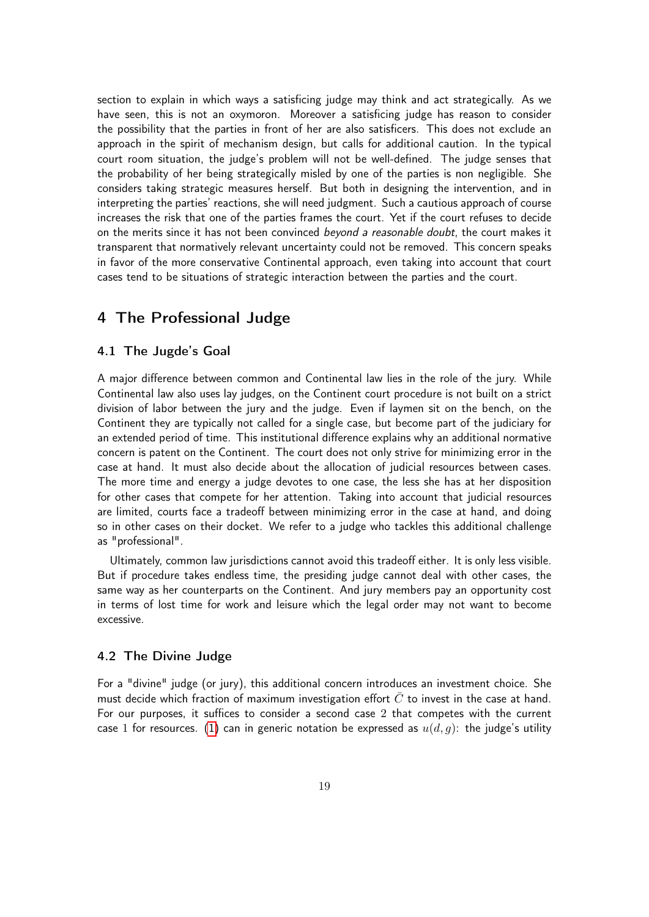section to explain in which ways a satisficing judge may think and act strategically. As we have seen, this is not an oxymoron. Moreover a satisficing judge has reason to consider the possibility that the parties in front of her are also satisficers. This does not exclude an approach in the spirit of mechanism design, but calls for additional caution. In the typical court room situation, the judge's problem will not be well-defined. The judge senses that the probability of her being strategically misled by one of the parties is non negligible. She considers taking strategic measures herself. But both in designing the intervention, and in interpreting the parties' reactions, she will need judgment. Such a cautious approach of course increases the risk that one of the parties frames the court. Yet if the court refuses to decide on the merits since it has not been convinced beyond a reasonable doubt, the court makes it transparent that normatively relevant uncertainty could not be removed. This concern speaks in favor of the more conservative Continental approach, even taking into account that court cases tend to be situations of strategic interaction between the parties and the court.

# <span id="page-20-0"></span>4 The Professional Judge

# <span id="page-20-1"></span>4.1 The Jugde's Goal

A major difference between common and Continental law lies in the role of the jury. While Continental law also uses lay judges, on the Continent court procedure is not built on a strict division of labor between the jury and the judge. Even if laymen sit on the bench, on the Continent they are typically not called for a single case, but become part of the judiciary for an extended period of time. This institutional difference explains why an additional normative concern is patent on the Continent. The court does not only strive for minimizing error in the case at hand. It must also decide about the allocation of judicial resources between cases. The more time and energy a judge devotes to one case, the less she has at her disposition for other cases that compete for her attention. Taking into account that judicial resources are limited, courts face a tradeoff between minimizing error in the case at hand, and doing so in other cases on their docket. We refer to a judge who tackles this additional challenge as "professional".

Ultimately, common law jurisdictions cannot avoid this tradeoff either. It is only less visible. But if procedure takes endless time, the presiding judge cannot deal with other cases, the same way as her counterparts on the Continent. And jury members pay an opportunity cost in terms of lost time for work and leisure which the legal order may not want to become excessive.

## <span id="page-20-2"></span>4.2 The Divine Judge

For a "divine" judge (or jury), this additional concern introduces an investment choice. She must decide which fraction of maximum investigation effort  $\bar{C}$  to invest in the case at hand. For our purposes, it suffices to consider a second case 2 that competes with the current case 1 for resources. [\(1\)](#page-6-5) can in generic notation be expressed as  $u(d, q)$ : the judge's utility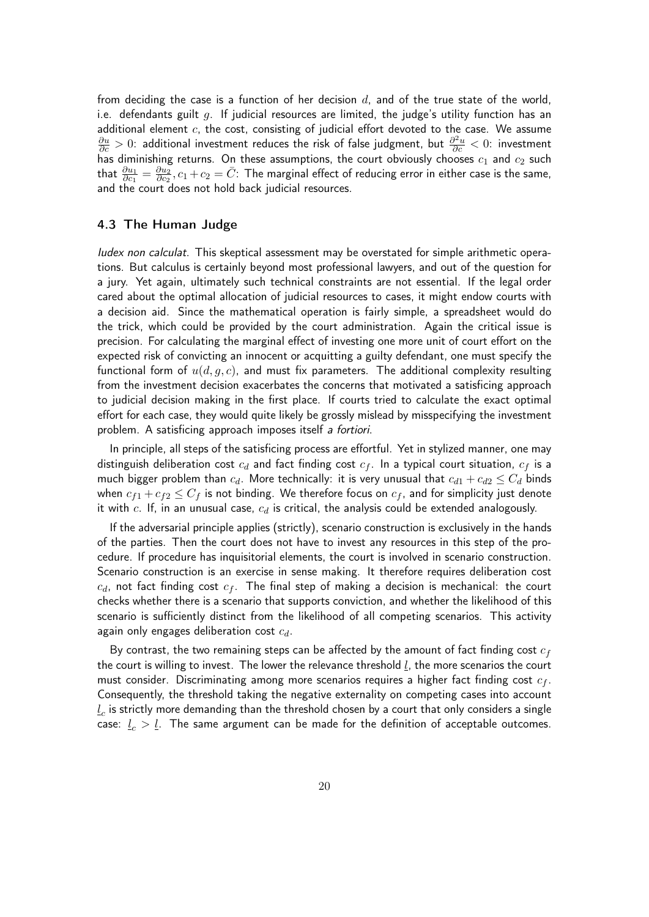from deciding the case is a function of her decision  $d$ , and of the true state of the world, i.e. defendants guilt q. If judicial resources are limited, the judge's utility function has an additional element  $c$ , the cost, consisting of judicial effort devoted to the case. We assume  $\frac{\partial u}{\partial c}>0$ : additional investment reduces the risk of false judgment, but  $\frac{\partial^2 u}{\partial c}<0$ : investment has diminishing returns. On these assumptions, the court obviously chooses  $c_1$  and  $c_2$  such that  $\frac{\partial u_1}{\partial c_1} = \frac{\partial u_2}{\partial c_2}$  $\frac{\partial u_2}{\partial c_2}, c_1+c_2=\bar{C}$ : The marginal effect of reducing error in either case is the same, and the court does not hold back judicial resources.

#### <span id="page-21-0"></span>4.3 The Human Judge

Iudex non calculat. This skeptical assessment may be overstated for simple arithmetic operations. But calculus is certainly beyond most professional lawyers, and out of the question for a jury. Yet again, ultimately such technical constraints are not essential. If the legal order cared about the optimal allocation of judicial resources to cases, it might endow courts with a decision aid. Since the mathematical operation is fairly simple, a spreadsheet would do the trick, which could be provided by the court administration. Again the critical issue is precision. For calculating the marginal effect of investing one more unit of court effort on the expected risk of convicting an innocent or acquitting a guilty defendant, one must specify the functional form of  $u(d, g, c)$ , and must fix parameters. The additional complexity resulting from the investment decision exacerbates the concerns that motivated a satisficing approach to judicial decision making in the first place. If courts tried to calculate the exact optimal effort for each case, they would quite likely be grossly mislead by misspecifying the investment problem. A satisficing approach imposes itself a fortiori.

In principle, all steps of the satisficing process are effortful. Yet in stylized manner, one may distinguish deliberation cost  $c_d$  and fact finding cost  $c_f$ . In a typical court situation,  $c_f$  is a much bigger problem than  $c_d$ . More technically: it is very unusual that  $c_{d1} + c_{d2} \leq C_d$  binds when  $c_{f1} + c_{f2} \leq C_f$  is not binding. We therefore focus on  $c_f$ , and for simplicity just denote it with  $c$ . If, in an unusual case,  $c_d$  is critical, the analysis could be extended analogously.

If the adversarial principle applies (strictly), scenario construction is exclusively in the hands of the parties. Then the court does not have to invest any resources in this step of the procedure. If procedure has inquisitorial elements, the court is involved in scenario construction. Scenario construction is an exercise in sense making. It therefore requires deliberation cost  $c_d$ , not fact finding cost  $c_f$ . The final step of making a decision is mechanical: the court checks whether there is a scenario that supports conviction, and whether the likelihood of this scenario is sufficiently distinct from the likelihood of all competing scenarios. This activity again only engages deliberation cost  $c_d$ .

By contrast, the two remaining steps can be affected by the amount of fact finding cost  $c_f$ the court is willing to invest. The lower the relevance threshold  $l$ , the more scenarios the court must consider. Discriminating among more scenarios requires a higher fact finding cost  $c_f$ . Consequently, the threshold taking the negative externality on competing cases into account  $\mathit{l}_c$  is strictly more demanding than the threshold chosen by a court that only considers a single case:  $l_c > l$ . The same argument can be made for the definition of acceptable outcomes.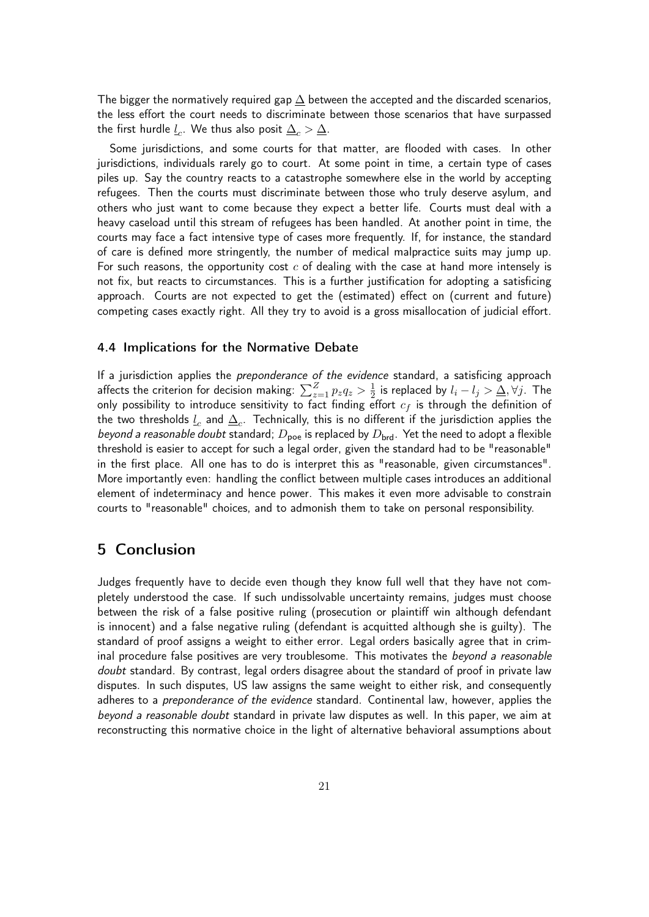The bigger the normatively required gap  $\Delta$  between the accepted and the discarded scenarios, the less effort the court needs to discriminate between those scenarios that have surpassed the first hurdle  $\underline{l}_c.$  We thus also posit  $\Delta_c > \Delta.$ 

Some jurisdictions, and some courts for that matter, are flooded with cases. In other jurisdictions, individuals rarely go to court. At some point in time, a certain type of cases piles up. Say the country reacts to a catastrophe somewhere else in the world by accepting refugees. Then the courts must discriminate between those who truly deserve asylum, and others who just want to come because they expect a better life. Courts must deal with a heavy caseload until this stream of refugees has been handled. At another point in time, the courts may face a fact intensive type of cases more frequently. If, for instance, the standard of care is defined more stringently, the number of medical malpractice suits may jump up. For such reasons, the opportunity cost  $c$  of dealing with the case at hand more intensely is not fix, but reacts to circumstances. This is a further justification for adopting a satisficing approach. Courts are not expected to get the (estimated) effect on (current and future) competing cases exactly right. All they try to avoid is a gross misallocation of judicial effort.

#### <span id="page-22-0"></span>4.4 Implications for the Normative Debate

If a jurisdiction applies the *preponderance of the evidence* standard, a satisficing approach affects the criterion for decision making:  $\sum_{z=1}^{Z}p_zq_z > \frac{1}{2}$  $\frac{1}{2}$  is replaced by  $l_i-l_j>\underline{\Delta}, \forall j.$  The only possibility to introduce sensitivity to fact finding effort  $c_f$  is through the definition of the two thresholds  $\mathit{l}_c$  and  $\Delta_c.$  Technically, this is no different if the jurisdiction applies the beyond a reasonable doubt standard;  $D_{\text{poe}}$  is replaced by  $D_{\text{brd}}$ . Yet the need to adopt a flexible threshold is easier to accept for such a legal order, given the standard had to be "reasonable" in the first place. All one has to do is interpret this as "reasonable, given circumstances". More importantly even: handling the conflict between multiple cases introduces an additional element of indeterminacy and hence power. This makes it even more advisable to constrain courts to "reasonable" choices, and to admonish them to take on personal responsibility.

# <span id="page-22-1"></span>5 Conclusion

Judges frequently have to decide even though they know full well that they have not completely understood the case. If such undissolvable uncertainty remains, judges must choose between the risk of a false positive ruling (prosecution or plaintiff win although defendant is innocent) and a false negative ruling (defendant is acquitted although she is guilty). The standard of proof assigns a weight to either error. Legal orders basically agree that in criminal procedure false positives are very troublesome. This motivates the *beyond a reasonable* doubt standard. By contrast, legal orders disagree about the standard of proof in private law disputes. In such disputes, US law assigns the same weight to either risk, and consequently adheres to a preponderance of the evidence standard. Continental law, however, applies the beyond a reasonable doubt standard in private law disputes as well. In this paper, we aim at reconstructing this normative choice in the light of alternative behavioral assumptions about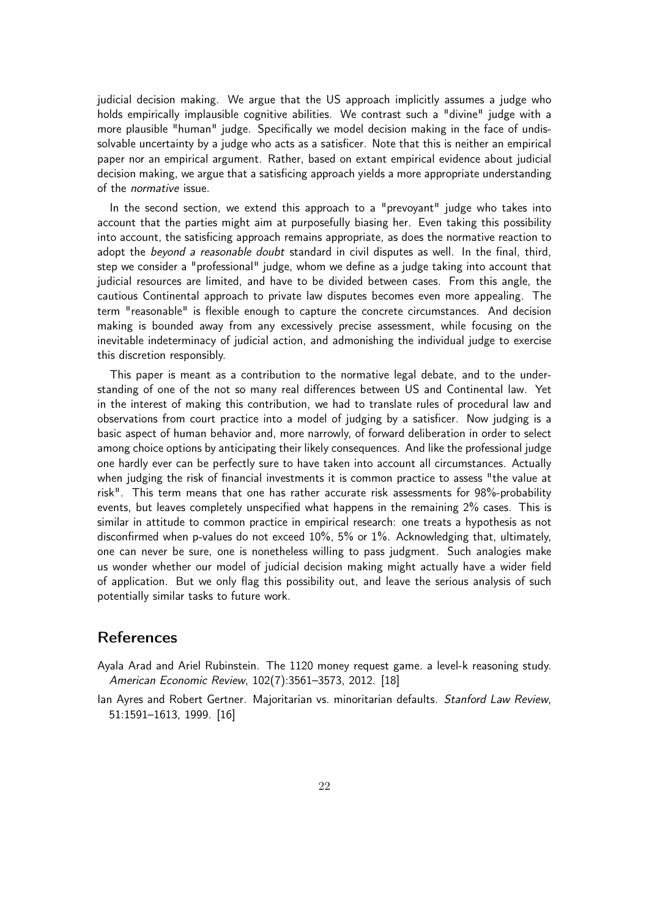judicial decision making. We argue that the US approach implicitly assumes a judge who holds empirically implausible cognitive abilities. We contrast such a "divine" judge with a more plausible "human" judge. Specifically we model decision making in the face of undissolvable uncertainty by a judge who acts as a satisficer. Note that this is neither an empirical paper nor an empirical argument. Rather, based on extant empirical evidence about judicial decision making, we argue that a satisficing approach yields a more appropriate understanding of the normative issue.

In the second section, we extend this approach to a "prevoyant" judge who takes into account that the parties might aim at purposefully biasing her. Even taking this possibility into account, the satisficing approach remains appropriate, as does the normative reaction to adopt the beyond a reasonable doubt standard in civil disputes as well. In the final, third, step we consider a "professional" judge, whom we define as a judge taking into account that judicial resources are limited, and have to be divided between cases. From this angle, the cautious Continental approach to private law disputes becomes even more appealing. The term "reasonable" is flexible enough to capture the concrete circumstances. And decision making is bounded away from any excessively precise assessment, while focusing on the inevitable indeterminacy of judicial action, and admonishing the individual judge to exercise this discretion responsibly.

This paper is meant as a contribution to the normative legal debate, and to the understanding of one of the not so many real differences between US and Continental law. Yet in the interest of making this contribution, we had to translate rules of procedural law and observations from court practice into a model of judging by a satisficer. Now judging is a basic aspect of human behavior and, more narrowly, of forward deliberation in order to select among choice options by anticipating their likely consequences. And like the professional judge one hardly ever can be perfectly sure to have taken into account all circumstances. Actually when judging the risk of financial investments it is common practice to assess "the value at risk". This term means that one has rather accurate risk assessments for 98%-probability events, but leaves completely unspecified what happens in the remaining 2% cases. This is similar in attitude to common practice in empirical research: one treats a hypothesis as not disconfirmed when p-values do not exceed 10%, 5% or 1%. Acknowledging that, ultimately, one can never be sure, one is nonetheless willing to pass judgment. Such analogies make us wonder whether our model of judicial decision making might actually have a wider field of application. But we only flag this possibility out, and leave the serious analysis of such potentially similar tasks to future work.

# References

- <span id="page-23-1"></span>Ayala Arad and Ariel Rubinstein. The 1120 money request game. a level-k reasoning study. American Economic Review, 102(7):3561–3573, 2012. [18]
- <span id="page-23-0"></span>Ian Ayres and Robert Gertner. Majoritarian vs. minoritarian defaults. Stanford Law Review, 51:1591–1613, 1999. [16]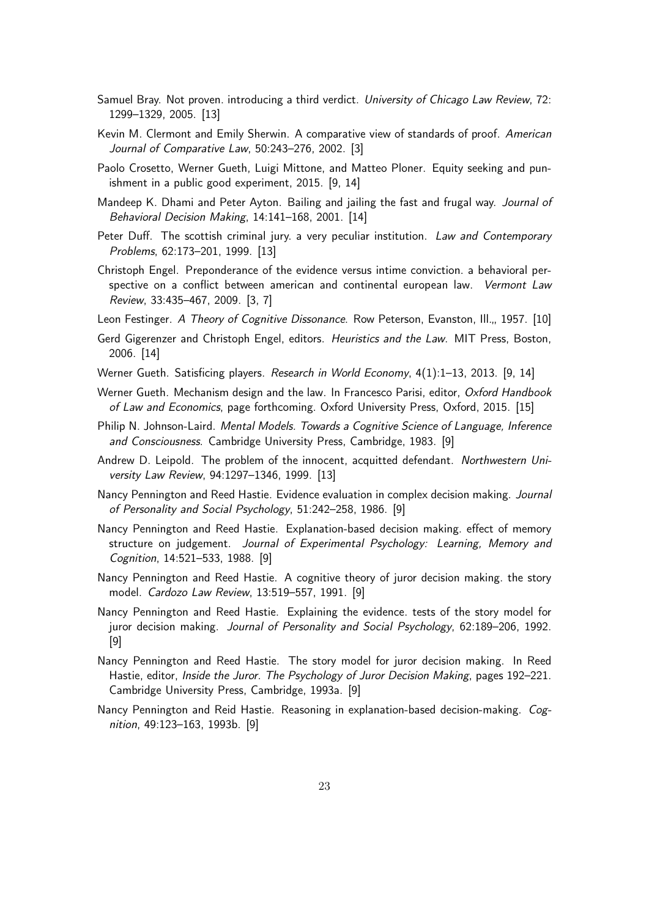- <span id="page-24-13"></span>Samuel Bray. Not proven. introducing a third verdict. University of Chicago Law Review, 72: 1299–1329, 2005. [13]
- <span id="page-24-1"></span>Kevin M. Clermont and Emily Sherwin. A comparative view of standards of proof. American Journal of Comparative Law, 50:243–276, 2002. [3]
- <span id="page-24-10"></span>Paolo Crosetto, Werner Gueth, Luigi Mittone, and Matteo Ploner. Equity seeking and punishment in a public good experiment, 2015. [9, 14]
- <span id="page-24-15"></span>Mandeep K. Dhami and Peter Ayton. Bailing and jailing the fast and frugal way. Journal of Behavioral Decision Making, 14:141–168, 2001. [14]
- <span id="page-24-12"></span>Peter Duff. The scottish criminal jury. a very peculiar institution. Law and Contemporary Problems, 62:173–201, 1999. [13]
- <span id="page-24-0"></span>Christoph Engel. Preponderance of the evidence versus intime conviction. a behavioral perspective on a conflict between american and continental european law. Vermont Law Review, 33:435–467, 2009. [3, 7]
- <span id="page-24-11"></span>Leon Festinger. A Theory of Cognitive Dissonance. Row Peterson, Evanston, III.,, 1957. [10]
- <span id="page-24-16"></span>Gerd Gigerenzer and Christoph Engel, editors. Heuristics and the Law. MIT Press, Boston, 2006. [14]
- <span id="page-24-9"></span>Werner Gueth. Satisficing players. Research in World Economy, 4(1):1–13, 2013. [9, 14]
- <span id="page-24-17"></span>Werner Gueth. Mechanism design and the law. In Francesco Parisi, editor, Oxford Handbook of Law and Economics, page forthcoming. Oxford University Press, Oxford, 2015. [15]
- <span id="page-24-7"></span>Philip N. Johnson-Laird. Mental Models. Towards a Cognitive Science of Language, Inference and Consciousness. Cambridge University Press, Cambridge, 1983. [9]
- <span id="page-24-14"></span>Andrew D. Leipold. The problem of the innocent, acquitted defendant. Northwestern University Law Review, 94:1297–1346, 1999. [13]
- <span id="page-24-4"></span>Nancy Pennington and Reed Hastie. Evidence evaluation in complex decision making. Journal of Personality and Social Psychology, 51:242–258, 1986. [9]
- <span id="page-24-3"></span>Nancy Pennington and Reed Hastie. Explanation-based decision making. effect of memory structure on judgement. Journal of Experimental Psychology: Learning, Memory and Cognition, 14:521–533, 1988. [9]
- <span id="page-24-2"></span>Nancy Pennington and Reed Hastie. A cognitive theory of juror decision making. the story model. Cardozo Law Review, 13:519–557, 1991. [9]
- <span id="page-24-8"></span>Nancy Pennington and Reed Hastie. Explaining the evidence. tests of the story model for juror decision making. Journal of Personality and Social Psychology, 62:189–206, 1992. [9]
- <span id="page-24-5"></span>Nancy Pennington and Reed Hastie. The story model for juror decision making. In Reed Hastie, editor, Inside the Juror. The Psychology of Juror Decision Making, pages 192–221. Cambridge University Press, Cambridge, 1993a. [9]
- <span id="page-24-6"></span>Nancy Pennington and Reid Hastie. Reasoning in explanation-based decision-making. Cognition, 49:123–163, 1993b. [9]